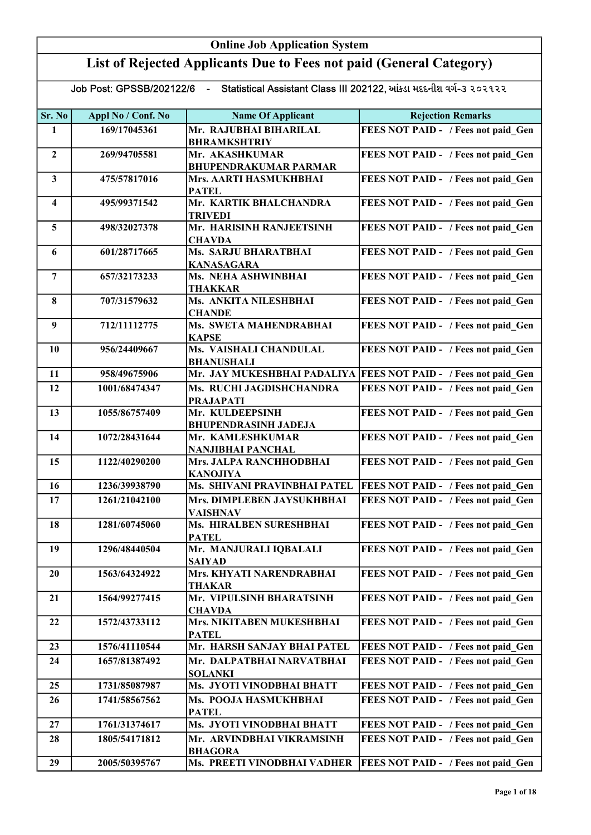## Online Job Application System List of Rejected Applicants Due to Fees not paid (General Category)

Job Post: GPSSB/202122/6 - Statistical Assistant Class III 202122, આંકડા મદદનીશ વર્ગ-૩ ૨૦૨૧૨૨

| Sr. No                  | Appl No / Conf. No | <b>Name Of Applicant</b>                        | <b>Rejection Remarks</b>                                          |
|-------------------------|--------------------|-------------------------------------------------|-------------------------------------------------------------------|
| 1                       | 169/17045361       | Mr. RAJUBHAI BIHARILAL                          | FEES NOT PAID - / Fees not paid Gen                               |
|                         |                    | <b>BHRAMKSHTRIY</b>                             |                                                                   |
| $\overline{2}$          | 269/94705581       | Mr. AKASHKUMAR                                  | FEES NOT PAID - / Fees not paid Gen                               |
|                         |                    | <b>BHUPENDRAKUMAR PARMAR</b>                    |                                                                   |
| $\mathbf{3}$            | 475/57817016       | Mrs. AARTI HASMUKHBHAI                          | FEES NOT PAID - / Fees not paid Gen                               |
|                         |                    | <b>PATEL</b>                                    |                                                                   |
| $\overline{\mathbf{4}}$ | 495/99371542       | Mr. KARTIK BHALCHANDRA                          | FEES NOT PAID - / Fees not paid Gen                               |
|                         |                    | <b>TRIVEDI</b>                                  |                                                                   |
| 5                       | 498/32027378       | Mr. HARISINH RANJEETSINH                        | FEES NOT PAID - / Fees not paid Gen                               |
|                         |                    | <b>CHAVDA</b>                                   |                                                                   |
| 6                       | 601/28717665       | <b>Ms. SARJU BHARATBHAI</b>                     | FEES NOT PAID - / Fees not paid_Gen                               |
|                         |                    | <b>KANASAGARA</b>                               |                                                                   |
| $\overline{7}$          | 657/32173233       | Ms. NEHA ASHWINBHAI                             | FEES NOT PAID - / Fees not paid Gen                               |
|                         |                    | <b>THAKKAR</b>                                  |                                                                   |
| 8                       | 707/31579632       | Ms. ANKITA NILESHBHAI                           | FEES NOT PAID - / Fees not paid Gen                               |
|                         |                    | <b>CHANDE</b>                                   |                                                                   |
| 9                       | 712/11112775       | Ms. SWETA MAHENDRABHAI                          | FEES NOT PAID - / Fees not paid_Gen                               |
|                         |                    | <b>KAPSE</b>                                    |                                                                   |
| 10                      | 956/24409667       | Ms. VAISHALI CHANDULAL                          | FEES NOT PAID - / Fees not paid_Gen                               |
|                         | 958/49675906       | <b>BHANUSHALI</b>                               | Mr. JAY MUKESHBHAI PADALIYA   FEES NOT PAID - / Fees not paid_Gen |
| 11                      |                    |                                                 |                                                                   |
| 12                      | 1001/68474347      | Ms. RUCHI JAGDISHCHANDRA                        | FEES NOT PAID - / Fees not paid Gen                               |
|                         |                    | <b>PRAJAPATI</b>                                |                                                                   |
| 13                      | 1055/86757409      | Mr. KULDEEPSINH                                 | FEES NOT PAID - / Fees not paid Gen                               |
| 14                      | 1072/28431644      | <b>BHUPENDRASINH JADEJA</b><br>Mr. KAMLESHKUMAR | FEES NOT PAID - / Fees not paid Gen                               |
|                         |                    | <b>NANJIBHAI PANCHAL</b>                        |                                                                   |
| 15                      | 1122/40290200      | Mrs. JALPA RANCHHODBHAI                         | FEES NOT PAID - / Fees not paid Gen                               |
|                         |                    | <b>KANOJIYA</b>                                 |                                                                   |
| 16                      | 1236/39938790      | Ms. SHIVANI PRAVINBHAI PATEL                    | FEES NOT PAID - / Fees not paid Gen                               |
| 17                      | 1261/21042100      | Mrs. DIMPLEBEN JAYSUKHBHAI                      | FEES NOT PAID - / Fees not paid Gen                               |
|                         |                    | <b>VAISHNAV</b>                                 |                                                                   |
| 18                      | 1281/60745060      | Ms. HIRALBEN SURESHBHAI                         | FEES NOT PAID - / Fees not paid Gen                               |
|                         |                    | <b>PATEL</b>                                    |                                                                   |
| 19                      | 1296/48440504      | Mr. MANJURALI IQBALALI                          | FEES NOT PAID - / Fees not paid Gen                               |
|                         |                    | <b>SAIYAD</b>                                   |                                                                   |
| 20                      | 1563/64324922      | Mrs. KHYATI NARENDRABHAI                        | FEES NOT PAID - / Fees not paid Gen                               |
|                         |                    | <b>THAKAR</b>                                   |                                                                   |
| 21                      | 1564/99277415      | Mr. VIPULSINH BHARATSINH                        | FEES NOT PAID - / Fees not paid Gen                               |
|                         |                    | <b>CHAVDA</b>                                   |                                                                   |
| 22                      | 1572/43733112      | Mrs. NIKITABEN MUKESHBHAI                       | FEES NOT PAID - / Fees not paid Gen                               |
|                         |                    | <b>PATEL</b>                                    |                                                                   |
| 23                      | 1576/41110544      | Mr. HARSH SANJAY BHAI PATEL                     | FEES NOT PAID - / Fees not paid Gen                               |
| 24                      | 1657/81387492      | Mr. DALPATBHAI NARVATBHAI                       | FEES NOT PAID - / Fees not paid Gen                               |
|                         |                    | <b>SOLANKI</b>                                  |                                                                   |
| 25                      | 1731/85087987      | Ms. JYOTI VINODBHAI BHATT                       | FEES NOT PAID - / Fees not paid Gen                               |
| 26                      | 1741/58567562      | Ms. POOJA HASMUKHBHAI                           | FEES NOT PAID - / Fees not paid Gen                               |
|                         |                    | <b>PATEL</b>                                    |                                                                   |
| 27                      | 1761/31374617      | Ms. JYOTI VINODBHAI BHATT                       | FEES NOT PAID - / Fees not paid Gen                               |
| 28                      | 1805/54171812      | Mr. ARVINDBHAI VIKRAMSINH                       | FEES NOT PAID - / Fees not paid Gen                               |
|                         |                    | <b>BHAGORA</b>                                  |                                                                   |
| 29                      | 2005/50395767      | Ms. PREETI VINODBHAI VADHER                     | FEES NOT PAID - / Fees not paid Gen                               |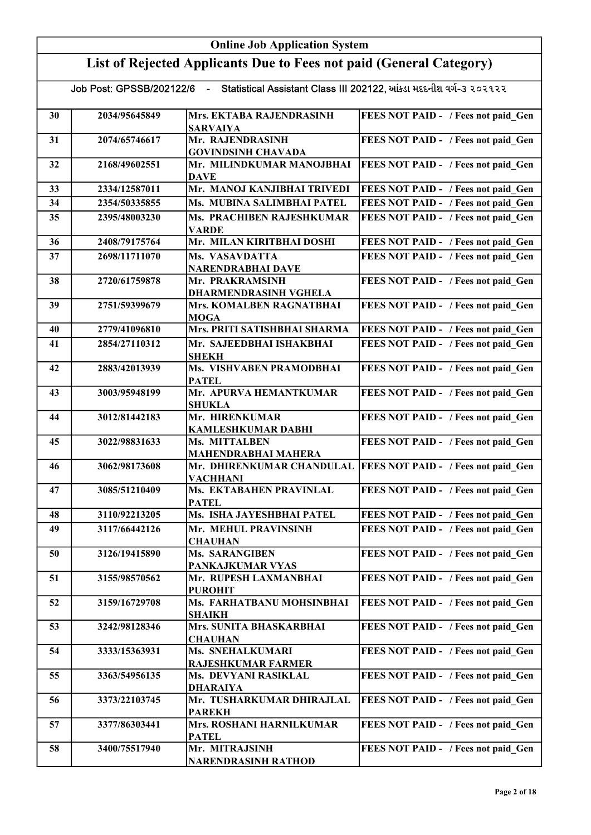|    | <b>Online Job Application System</b> |                                                                      |                                                                 |  |
|----|--------------------------------------|----------------------------------------------------------------------|-----------------------------------------------------------------|--|
|    |                                      | List of Rejected Applicants Due to Fees not paid (General Category)  |                                                                 |  |
|    | Job Post: GPSSB/202122/6             | - Statistical Assistant Class III 202122, આંકડા મદદનીશ વર્ગ-૩ ૨૦૨૧૨૨ |                                                                 |  |
| 30 | 2034/95645849                        | Mrs. EKTABA RAJENDRASINH<br><b>SARVAIYA</b>                          | FEES NOT PAID - / Fees not paid Gen                             |  |
| 31 | 2074/65746617                        | Mr. RAJENDRASINH<br><b>GOVINDSINH CHAVADA</b>                        | FEES NOT PAID - / Fees not paid Gen                             |  |
| 32 | 2168/49602551                        | Mr. MILINDKUMAR MANOJBHAI<br><b>DAVE</b>                             | FEES NOT PAID - / Fees not paid Gen                             |  |
| 33 | 2334/12587011                        | Mr. MANOJ KANJIBHAI TRIVEDI                                          | FEES NOT PAID - / Fees not paid Gen                             |  |
| 34 | 2354/50335855                        | Ms. MUBINA SALIMBHAI PATEL                                           | FEES NOT PAID - / Fees not paid Gen                             |  |
| 35 | 2395/48003230                        | Ms. PRACHIBEN RAJESHKUMAR<br><b>VARDE</b>                            | FEES NOT PAID - / Fees not paid Gen                             |  |
| 36 | 2408/79175764                        | Mr. MILAN KIRITBHAI DOSHI                                            | FEES NOT PAID - / Fees not paid Gen                             |  |
| 37 | 2698/11711070                        | Ms. VASAVDATTA<br>NARENDRABHAI DAVE                                  | FEES NOT PAID - / Fees not paid Gen                             |  |
| 38 | 2720/61759878                        | Mr. PRAKRAMSINH<br><b>DHARMENDRASINH VGHELA</b>                      | FEES NOT PAID - / Fees not paid Gen                             |  |
| 39 | 2751/59399679                        | Mrs. KOMALBEN RAGNATBHAI<br><b>MOGA</b>                              | FEES NOT PAID - / Fees not paid Gen                             |  |
| 40 | 2779/41096810                        | Mrs. PRITI SATISHBHAI SHARMA                                         | FEES NOT PAID - / Fees not paid Gen                             |  |
| 41 | 2854/27110312                        | Mr. SAJEEDBHAI ISHAKBHAI<br><b>SHEKH</b>                             | FEES NOT PAID - / Fees not paid Gen                             |  |
| 42 | 2883/42013939                        | Ms. VISHVABEN PRAMODBHAI<br><b>PATEL</b>                             | FEES NOT PAID - / Fees not paid Gen                             |  |
| 43 | 3003/95948199                        | Mr. APURVA HEMANTKUMAR<br><b>SHUKLA</b>                              | FEES NOT PAID - / Fees not paid Gen                             |  |
| 44 | 3012/81442183                        | Mr. HIRENKUMAR<br><b>KAMLESHKUMAR DABHI</b>                          | FEES NOT PAID - / Fees not paid Gen                             |  |
| 45 | 3022/98831633                        | Ms. MITTALBEN<br><b>MAHENDRABHAI MAHERA</b>                          | FEES NOT PAID - / Fees not paid Gen                             |  |
| 46 | 3062/98173608                        | <b>VACHHANI</b>                                                      | Mr. DHIRENKUMAR CHANDULAL   FEES NOT PAID - / Fees not paid Gen |  |
| 47 | 3085/51210409                        | Ms. EKTABAHEN PRAVINLAL<br><b>PATEL</b>                              | FEES NOT PAID - / Fees not paid Gen                             |  |
| 48 | 3110/92213205                        | Ms. ISHA JAYESHBHAI PATEL                                            | FEES NOT PAID - / Fees not paid Gen                             |  |
| 49 | 3117/66442126                        | Mr. MEHUL PRAVINSINH<br><b>CHAUHAN</b>                               | FEES NOT PAID - / Fees not paid Gen                             |  |
| 50 | 3126/19415890                        | <b>Ms. SARANGIBEN</b><br>PANKAJKUMAR VYAS                            | FEES NOT PAID - / Fees not paid Gen                             |  |
| 51 | 3155/98570562                        | Mr. RUPESH LAXMANBHAI<br><b>PUROHIT</b>                              | FEES NOT PAID - / Fees not paid Gen                             |  |
| 52 | 3159/16729708                        | Ms. FARHATBANU MOHSINBHAI<br><b>SHAIKH</b>                           | FEES NOT PAID - / Fees not paid Gen                             |  |
| 53 | 3242/98128346                        | Mrs. SUNITA BHASKARBHAI<br><b>CHAUHAN</b>                            | FEES NOT PAID - / Fees not paid Gen                             |  |
| 54 | 3333/15363931                        | <b>Ms. SNEHALKUMARI</b><br><b>RAJESHKUMAR FARMER</b>                 | FEES NOT PAID - / Fees not paid Gen                             |  |
| 55 | 3363/54956135                        | Ms. DEVYANI RASIKLAL<br><b>DHARAIYA</b>                              | FEES NOT PAID - / Fees not paid Gen                             |  |
| 56 | 3373/22103745                        | Mr. TUSHARKUMAR DHIRAJLAL<br><b>PAREKH</b>                           | FEES NOT PAID - / Fees not paid Gen                             |  |
| 57 | 3377/86303441                        | Mrs. ROSHANI HARNILKUMAR<br><b>PATEL</b>                             | FEES NOT PAID - / Fees not paid Gen                             |  |
| 58 | 3400/75517940                        | Mr. MITRAJSINH<br><b>NARENDRASINH RATHOD</b>                         | FEES NOT PAID - / Fees not paid Gen                             |  |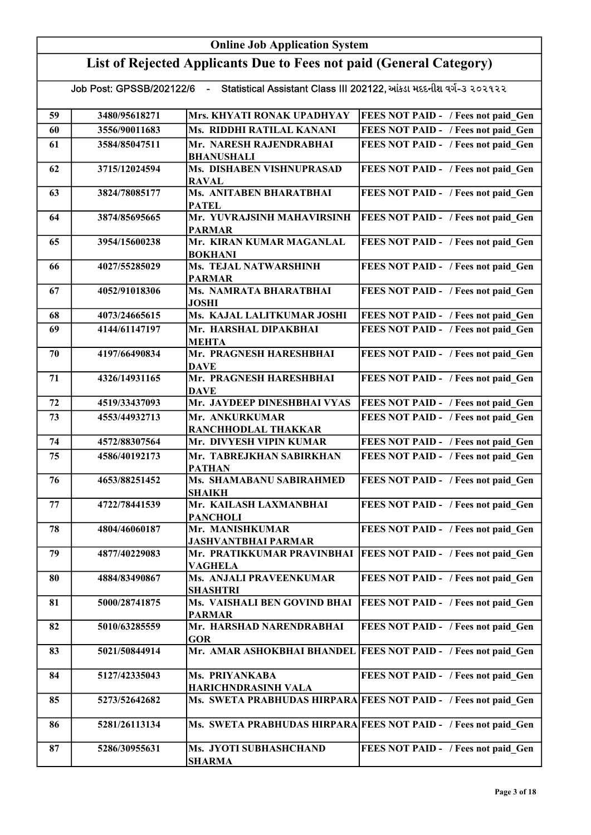|    | <b>Online Job Application System</b> |                                                                                               |                                                                 |  |
|----|--------------------------------------|-----------------------------------------------------------------------------------------------|-----------------------------------------------------------------|--|
|    |                                      | List of Rejected Applicants Due to Fees not paid (General Category)                           |                                                                 |  |
|    |                                      | Job Post: GPSSB/202122/6 - Statistical Assistant Class III 202122, આંકડા મદદનીશ વર્ગ-૩ ૨૦૨૧૨૨ |                                                                 |  |
| 59 | 3480/95618271                        | Mrs. KHYATI RONAK UPADHYAY                                                                    | FEES NOT PAID - / Fees not paid Gen                             |  |
| 60 | 3556/90011683                        | Ms. RIDDHI RATILAL KANANI                                                                     | FEES NOT PAID - / Fees not paid Gen                             |  |
| 61 | 3584/85047511                        | Mr. NARESH RAJENDRABHAI<br><b>BHANUSHALI</b>                                                  | FEES NOT PAID - / Fees not paid Gen                             |  |
| 62 | 3715/12024594                        | Ms. DISHABEN VISHNUPRASAD<br><b>RAVAL</b>                                                     | FEES NOT PAID - / Fees not paid Gen                             |  |
| 63 | 3824/78085177                        | Ms. ANITABEN BHARATBHAI<br><b>PATEL</b>                                                       | FEES NOT PAID - / Fees not paid Gen                             |  |
| 64 | 3874/85695665                        | Mr. YUVRAJSINH MAHAVIRSINH<br><b>PARMAR</b>                                                   | FEES NOT PAID - / Fees not paid Gen                             |  |
| 65 | 3954/15600238                        | Mr. KIRAN KUMAR MAGANLAL<br><b>BOKHANI</b>                                                    | FEES NOT PAID - / Fees not paid_Gen                             |  |
| 66 | 4027/55285029                        | Ms. TEJAL NATWARSHINH<br><b>PARMAR</b>                                                        | FEES NOT PAID - / Fees not paid Gen                             |  |
| 67 | 4052/91018306                        | Ms. NAMRATA BHARATBHAI<br><b>JOSHI</b>                                                        | FEES NOT PAID - / Fees not paid Gen                             |  |
| 68 | 4073/24665615                        | Ms. KAJAL LALITKUMAR JOSHI                                                                    | FEES NOT PAID - / Fees not paid Gen                             |  |
| 69 | 4144/61147197                        | Mr. HARSHAL DIPAKBHAI<br>MEHTA                                                                | FEES NOT PAID - / Fees not paid Gen                             |  |
| 70 | 4197/66490834                        | Mr. PRAGNESH HARESHBHAI<br><b>DAVE</b>                                                        | FEES NOT PAID - / Fees not paid Gen                             |  |
| 71 | 4326/14931165                        | Mr. PRAGNESH HARESHBHAI<br>DAVE                                                               | FEES NOT PAID - / Fees not paid Gen                             |  |
| 72 | 4519/33437093                        | Mr. JAYDEEP DINESHBHAI VYAS                                                                   | FEES NOT PAID - / Fees not paid Gen                             |  |
| 73 | 4553/44932713                        | Mr. ANKURKUMAR<br>RANCHHODLAL THAKKAR                                                         | FEES NOT PAID - / Fees not paid Gen                             |  |
| 74 | 4572/88307564                        | Mr. DIVYESH VIPIN KUMAR                                                                       | FEES NOT PAID - / Fees not paid Gen                             |  |
| 75 | 4586/40192173                        | Mr. TABREJKHAN SABIRKHAN<br><b>PATHAN</b>                                                     | FEES NOT PAID - / Fees not paid Gen                             |  |
| 76 | 4653/88251452                        | Ms. SHAMABANU SABIRAHMED<br><b>SHAIKH</b>                                                     | FEES NOT PAID - / Fees not paid_Gen                             |  |
| 77 | 4722/78441539                        | Mr. KAILASH LAXMANBHAI<br><b>PANCHOLI</b>                                                     | FEES NOT PAID - / Fees not paid Gen                             |  |
| 78 | 4804/46060187                        | Mr. MANISHKUMAR<br><b>JASHVANTBHAI PARMAR</b>                                                 | FEES NOT PAID - / Fees not paid Gen                             |  |
| 79 | 4877/40229083                        | Mr. PRATIKKUMAR PRAVINBHAI<br><b>VAGHELA</b>                                                  | FEES NOT PAID - / Fees not paid Gen                             |  |
| 80 | 4884/83490867                        | Ms. ANJALI PRAVEENKUMAR<br><b>SHASHTRI</b>                                                    | FEES NOT PAID - / Fees not paid Gen                             |  |
| 81 | 5000/28741875                        | Ms. VAISHALI BEN GOVIND BHAI<br><b>PARMAR</b>                                                 | FEES NOT PAID - / Fees not paid Gen                             |  |
| 82 | 5010/63285559                        | Mr. HARSHAD NARENDRABHAI<br><b>GOR</b>                                                        | FEES NOT PAID - / Fees not paid Gen                             |  |
| 83 | 5021/50844914                        | Mr. AMAR ASHOKBHAI BHANDEL                                                                    | <b>FEES NOT PAID - / Fees not paid_Gen</b>                      |  |
| 84 | 5127/42335043                        | Ms. PRIYANKABA<br><b>HARICHNDRASINH VALA</b>                                                  | FEES NOT PAID - / Fees not paid Gen                             |  |
| 85 | 5273/52642682                        |                                                                                               | Ms. SWETA PRABHUDAS HIRPARA FEES NOT PAID - / Fees not paid_Gen |  |
| 86 | 5281/26113134                        |                                                                                               | Ms. SWETA PRABHUDAS HIRPARA FEES NOT PAID - / Fees not paid Gen |  |
| 87 | 5286/30955631                        | Ms. JYOTI SUBHASHCHAND<br>SHARMA                                                              | FEES NOT PAID - / Fees not paid Gen                             |  |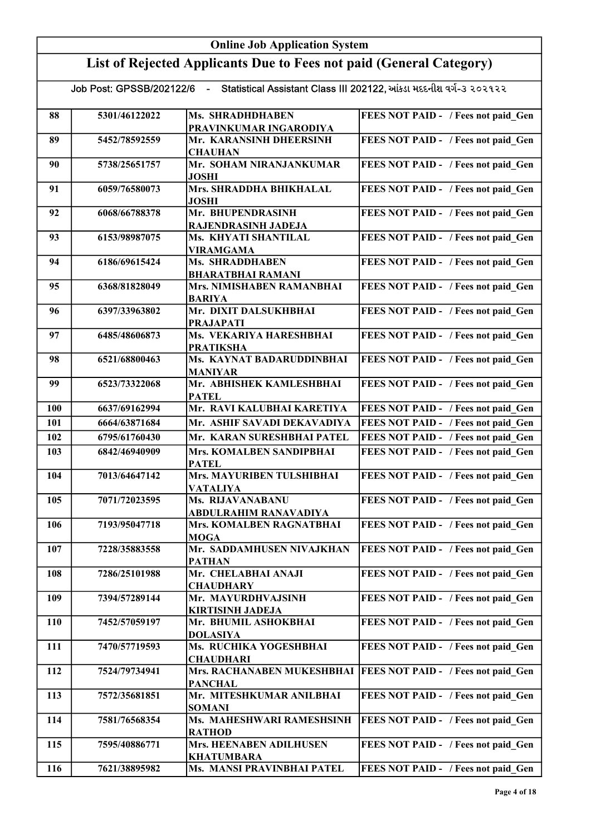|     | <b>Online Job Application System</b> |                                                                                               |                                            |  |
|-----|--------------------------------------|-----------------------------------------------------------------------------------------------|--------------------------------------------|--|
|     |                                      | List of Rejected Applicants Due to Fees not paid (General Category)                           |                                            |  |
|     |                                      | Job Post: GPSSB/202122/6 - Statistical Assistant Class III 202122, આંકડા મદદનીશ વર્ગ-૩ ૨૦૨૧૨૨ |                                            |  |
| 88  | 5301/46122022                        | Ms. SHRADHDHABEN<br>PRAVINKUMAR INGARODIYA                                                    | FEES NOT PAID - / Fees not paid_Gen        |  |
| 89  | 5452/78592559                        | Mr. KARANSINH DHEERSINH<br><b>CHAUHAN</b>                                                     | FEES NOT PAID - / Fees not paid Gen        |  |
| 90  | 5738/25651757                        | Mr. SOHAM NIRANJANKUMAR<br><b>JOSHI</b>                                                       | FEES NOT PAID - / Fees not paid Gen        |  |
| 91  | 6059/76580073                        | Mrs. SHRADDHA BHIKHALAL<br><b>JOSHI</b>                                                       | FEES NOT PAID - / Fees not paid Gen        |  |
| 92  | 6068/66788378                        | Mr. BHUPENDRASINH<br>RAJENDRASINH JADEJA                                                      | FEES NOT PAID - / Fees not paid Gen        |  |
| 93  | 6153/98987075                        | Ms. KHYATI SHANTILAL<br><b>VIRAMGAMA</b>                                                      | FEES NOT PAID - / Fees not paid Gen        |  |
| 94  | 6186/69615424                        | <b>Ms. SHRADDHABEN</b><br><b>BHARATBHAI RAMANI</b>                                            | FEES NOT PAID - / Fees not paid Gen        |  |
| 95  | 6368/81828049                        | Mrs. NIMISHABEN RAMANBHAI<br><b>BARIYA</b>                                                    | FEES NOT PAID - / Fees not paid Gen        |  |
| 96  | 6397/33963802                        | Mr. DIXIT DALSUKHBHAI<br><b>PRAJAPATI</b>                                                     | FEES NOT PAID - / Fees not paid Gen        |  |
| 97  | 6485/48606873                        | Ms. VEKARIYA HARESHBHAI<br><b>PRATIKSHA</b>                                                   | FEES NOT PAID - / Fees not paid Gen        |  |
| 98  | 6521/68800463                        | Ms. KAYNAT BADARUDDINBHAI<br><b>MANIYAR</b>                                                   | FEES NOT PAID - / Fees not paid Gen        |  |
| 99  | 6523/73322068                        | Mr. ABHISHEK KAMLESHBHAI<br><b>PATEL</b>                                                      | FEES NOT PAID - / Fees not paid Gen        |  |
| 100 | 6637/69162994                        | Mr. RAVI KALUBHAI KARETIYA                                                                    | FEES NOT PAID - / Fees not paid Gen        |  |
| 101 | 6664/63871684                        | Mr. ASHIF SAVADI DEKAVADIYA                                                                   | FEES NOT PAID - / Fees not paid Gen        |  |
| 102 | 6795/61760430                        | Mr. KARAN SURESHBHAI PATEL                                                                    | <b>FEES NOT PAID - / Fees not paid Gen</b> |  |
| 103 | 6842/46940909                        | Mrs. KOMALBEN SANDIPBHAI<br><b>PATEL</b>                                                      | FEES NOT PAID - / Fees not paid Gen        |  |
| 104 | 7013/64647142                        | Mrs. MAYURIBEN TULSHIBHAI<br><b>VATALIYA</b>                                                  | <b>FEES NOT PAID - / Fees not paid_Gen</b> |  |
| 105 | 7071/72023595                        | Ms. RIJAVANABANU<br>ABDULRAHIM RANAVADIYA                                                     | FEES NOT PAID - / Fees not paid Gen        |  |
| 106 | 7193/95047718                        | Mrs. KOMALBEN RAGNATBHAI<br><b>MOGA</b>                                                       | FEES NOT PAID - / Fees not paid Gen        |  |
| 107 | 7228/35883558                        | Mr. SADDAMHUSEN NIVAJKHAN<br><b>PATHAN</b>                                                    | FEES NOT PAID - / Fees not paid_Gen        |  |
| 108 | 7286/25101988                        | Mr. CHELABHAI ANAJI<br><b>CHAUDHARY</b>                                                       | FEES NOT PAID - / Fees not paid Gen        |  |
| 109 | 7394/57289144                        | Mr. MAYURDHVAJSINH<br><b>KIRTISINH JADEJA</b>                                                 | FEES NOT PAID - / Fees not paid Gen        |  |
| 110 | 7452/57059197                        | Mr. BHUMIL ASHOKBHAI<br><b>DOLASIYA</b>                                                       | FEES NOT PAID - / Fees not paid Gen        |  |
| 111 | 7470/57719593                        | Ms. RUCHIKA YOGESHBHAI<br><b>CHAUDHARI</b>                                                    | FEES NOT PAID - / Fees not paid Gen        |  |
| 112 | 7524/79734941                        | Mrs. RACHANABEN MUKESHBHAI<br><b>PANCHAL</b>                                                  | <b>FEES NOT PAID - / Fees not paid Gen</b> |  |
| 113 | 7572/35681851                        | Mr. MITESHKUMAR ANILBHAI<br><b>SOMANI</b>                                                     | FEES NOT PAID - / Fees not paid Gen        |  |
| 114 | 7581/76568354                        | Ms. MAHESHWARI RAMESHSINH<br><b>RATHOD</b>                                                    | FEES NOT PAID - / Fees not paid Gen        |  |
| 115 | 7595/40886771                        | Mrs. HEENABEN ADILHUSEN<br><b>KHATUMBARA</b>                                                  | FEES NOT PAID - / Fees not paid Gen        |  |
| 116 | 7621/38895982                        | Ms. MANSI PRAVINBHAI PATEL                                                                    | FEES NOT PAID - / Fees not paid_Gen        |  |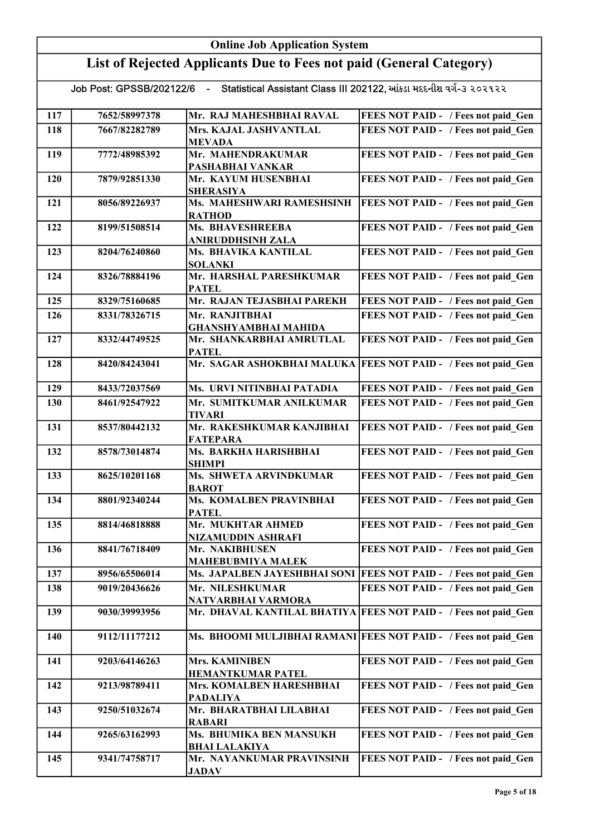|     | <b>Online Job Application System</b>                                |                                                                                               |                                                                    |  |
|-----|---------------------------------------------------------------------|-----------------------------------------------------------------------------------------------|--------------------------------------------------------------------|--|
|     | List of Rejected Applicants Due to Fees not paid (General Category) |                                                                                               |                                                                    |  |
|     |                                                                     | Job Post: GPSSB/202122/6 - Statistical Assistant Class III 202122, આંકડા મદદનીશ વર્ગ-૩ ૨૦૨૧૨૨ |                                                                    |  |
| 117 | 7652/58997378                                                       | Mr. RAJ MAHESHBHAI RAVAL                                                                      | FEES NOT PAID - / Fees not paid Gen                                |  |
| 118 | 7667/82282789                                                       | Mrs. KAJAL JASHVANTLAL<br>MEVADA                                                              | FEES NOT PAID - / Fees not paid Gen                                |  |
| 119 | 7772/48985392                                                       | Mr. MAHENDRAKUMAR<br>PASHABHAI VANKAR                                                         | FEES NOT PAID - / Fees not paid Gen                                |  |
| 120 | 7879/92851330                                                       | Mr. KAYUM HUSENBHAI<br><b>SHERASIYA</b>                                                       | FEES NOT PAID - / Fees not paid Gen                                |  |
| 121 | 8056/89226937                                                       | Ms. MAHESHWARI RAMESHSINH<br><b>RATHOD</b>                                                    | FEES NOT PAID - / Fees not paid Gen                                |  |
| 122 | 8199/51508514                                                       | Ms. BHAVESHREEBA<br>ANIRUDDHSINH ZALA                                                         | FEES NOT PAID - / Fees not paid Gen                                |  |
| 123 | 8204/76240860                                                       | Ms. BHAVIKA KANTILAL<br><b>SOLANKI</b>                                                        | FEES NOT PAID - / Fees not paid Gen                                |  |
| 124 | 8326/78884196                                                       | Mr. HARSHAL PARESHKUMAR<br><b>PATEL</b>                                                       | FEES NOT PAID - / Fees not paid Gen                                |  |
| 125 | 8329/75160685                                                       | Mr. RAJAN TEJASBHAI PAREKH                                                                    | FEES NOT PAID - / Fees not paid Gen                                |  |
| 126 | 8331/78326715                                                       | Mr. RANJITBHAI<br><b>GHANSHYAMBHAI MAHIDA</b>                                                 | FEES NOT PAID - / Fees not paid Gen                                |  |
| 127 | 8332/44749525                                                       | Mr. SHANKARBHAI AMRUTLAL<br><b>PATEL</b>                                                      | FEES NOT PAID - / Fees not paid Gen                                |  |
| 128 | 8420/84243041                                                       |                                                                                               | Mr. SAGAR ASHOKBHAI MALUKA FEES NOT PAID - / Fees not paid Gen     |  |
| 129 | 8433/72037569                                                       | Ms. URVI NITINBHAI PATADIA                                                                    | FEES NOT PAID - / Fees not paid_Gen                                |  |
| 130 | 8461/92547922                                                       | Mr. SUMITKUMAR ANILKUMAR<br><b>TIVARI</b>                                                     | FEES NOT PAID - / Fees not paid Gen                                |  |
| 131 | 8537/80442132                                                       | Mr. RAKESHKUMAR KANJIBHAI<br><b>FATEPARA</b>                                                  | FEES NOT PAID - / Fees not paid Gen                                |  |
| 132 | 8578/73014874                                                       | Ms. BARKHA HARISHBHAI<br>SHIMPI                                                               | FEES NOT PAID - / Fees not paid Gen                                |  |
| 133 | 8625/10201168                                                       | Ms. SHWETA ARVINDKUMAR<br><b>BAROT</b>                                                        | FEES NOT PAID - / Fees not paid_Gen                                |  |
| 134 | 8801/92340244                                                       | Ms. KOMALBEN PRAVINBHAI<br><b>PATEL</b>                                                       | FEES NOT PAID - / Fees not paid Gen                                |  |
| 135 | 8814/46818888                                                       | Mr. MUKHTAR AHMED<br>NIZAMUDDIN ASHRAFI                                                       | FEES NOT PAID - / Fees not paid Gen                                |  |
| 136 | 8841/76718409                                                       | Mr. NAKIBHUSEN<br><b>MAHEBUBMIYA MALEK</b>                                                    | FEES NOT PAID - / Fees not paid Gen                                |  |
| 137 | 8956/65506014                                                       |                                                                                               | Ms. JAPALBEN JAYESHBHAI SONI   FEES NOT PAID - / Fees not paid_Gen |  |
| 138 | 9019/20436626                                                       | Mr. NILESHKUMAR<br>NATVARBHAI VARMORA                                                         | FEES NOT PAID - / Fees not paid Gen                                |  |
| 139 | 9030/39993956                                                       |                                                                                               | Mr. DHAVAL KANTILAL BHATIYA FEES NOT PAID - / Fees not paid Gen    |  |
| 140 | 9112/11177212                                                       |                                                                                               | Ms. BHOOMI MULJIBHAI RAMANI FEES NOT PAID - / Fees not paid Gen    |  |
| 141 | 9203/64146263                                                       | Mrs. KAMINIBEN<br><b>HEMANTKUMAR PATEL</b>                                                    | FEES NOT PAID - / Fees not paid Gen                                |  |
| 142 | 9213/98789411                                                       | Mrs. KOMALBEN HARESHBHAI<br><b>PADALIYA</b>                                                   | FEES NOT PAID - / Fees not paid Gen                                |  |
| 143 | 9250/51032674                                                       | Mr. BHARATBHAI LILABHAI<br><b>RABARI</b>                                                      | FEES NOT PAID - / Fees not paid Gen                                |  |
| 144 | 9265/63162993                                                       | Ms. BHUMIKA BEN MANSUKH<br><b>BHAI LALAKIYA</b>                                               | FEES NOT PAID - / Fees not paid Gen                                |  |
| 145 | 9341/74758717                                                       | Mr. NAYANKUMAR PRAVINSINH<br><b>JADAV</b>                                                     | FEES NOT PAID - / Fees not paid Gen                                |  |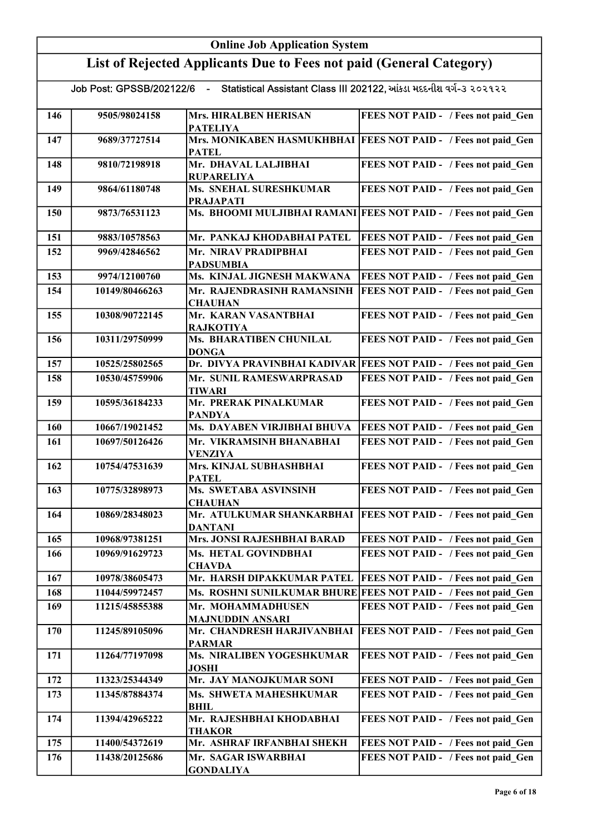|     | <b>Online Job Application System</b>                                |                                                                      |                                                                    |  |
|-----|---------------------------------------------------------------------|----------------------------------------------------------------------|--------------------------------------------------------------------|--|
|     | List of Rejected Applicants Due to Fees not paid (General Category) |                                                                      |                                                                    |  |
|     | Job Post: GPSSB/202122/6                                            | - Statistical Assistant Class III 202122, આંકડા મદદનીશ વર્ગ-૩ ૨૦૨૧૨૨ |                                                                    |  |
| 146 | 9505/98024158                                                       | Mrs. HIRALBEN HERISAN<br><b>PATELIYA</b>                             | FEES NOT PAID - / Fees not paid Gen                                |  |
| 147 | 9689/37727514                                                       | <b>PATEL</b>                                                         | Mrs. MONIKABEN HASMUKHBHAI FEES NOT PAID - / Fees not paid Gen     |  |
| 148 | 9810/72198918                                                       | Mr. DHAVAL LALJIBHAI<br><b>RUPARELIYA</b>                            | FEES NOT PAID - / Fees not paid Gen                                |  |
| 149 | 9864/61180748                                                       | Ms. SNEHAL SURESHKUMAR<br><b>PRAJAPATI</b>                           | FEES NOT PAID - / Fees not paid_Gen                                |  |
| 150 | 9873/76531123                                                       |                                                                      | Ms. BHOOMI MULJIBHAI RAMANI FEES NOT PAID - / Fees not paid Gen    |  |
| 151 | 9883/10578563                                                       | Mr. PANKAJ KHODABHAI PATEL                                           | FEES NOT PAID - / Fees not paid Gen                                |  |
| 152 | 9969/42846562                                                       | Mr. NIRAV PRADIPBHAI<br><b>PADSUMBIA</b>                             | FEES NOT PAID - / Fees not paid Gen                                |  |
| 153 | 9974/12100760                                                       | Ms. KINJAL JIGNESH MAKWANA                                           | FEES NOT PAID - / Fees not paid Gen                                |  |
| 154 | 10149/80466263                                                      | Mr. RAJENDRASINH RAMANSINH<br><b>CHAUHAN</b>                         | FEES NOT PAID - / Fees not paid Gen                                |  |
| 155 | 10308/90722145                                                      | Mr. KARAN VASANTBHAI<br><b>RAJKOTIYA</b>                             | FEES NOT PAID - / Fees not paid_Gen                                |  |
| 156 | 10311/29750999                                                      | Ms. BHARATIBEN CHUNILAL<br><b>DONGA</b>                              | FEES NOT PAID - / Fees not paid Gen                                |  |
| 157 | 10525/25802565                                                      |                                                                      | Dr. DIVYA PRAVINBHAI KADIVAR   FEES NOT PAID - / Fees not paid_Gen |  |
| 158 | 10530/45759906                                                      | Mr. SUNIL RAMESWARPRASAD<br><b>TIWARI</b>                            | FEES NOT PAID - / Fees not paid Gen                                |  |
| 159 | 10595/36184233                                                      | Mr. PRERAK PINALKUMAR<br><b>PANDYA</b>                               | FEES NOT PAID - / Fees not paid Gen                                |  |
| 160 | 10667/19021452                                                      | Ms. DAYABEN VIRJIBHAI BHUVA                                          | <b>FEES NOT PAID - / Fees not paid Gen</b>                         |  |
| 161 | 10697/50126426                                                      | Mr. VIKRAMSINH BHANABHAI<br><b>VENZIYA</b>                           | FEES NOT PAID - / Fees not paid Gen                                |  |
| 162 | 10754/47531639                                                      | Mrs. KINJAL SUBHASHBHAI<br><b>PATEL</b>                              | FEES NOT PAID - / Fees not paid Gen                                |  |
| 163 | 10775/32898973                                                      | Ms. SWETABA ASVINSINH<br><b>CHAUHAN</b>                              | FEES NOT PAID - / Fees not paid Gen                                |  |
| 164 | 10869/28348023                                                      | Mr. ATULKUMAR SHANKARBHAI<br><b>DANTANI</b>                          | <b>FEES NOT PAID - / Fees not paid Gen</b>                         |  |
| 165 | 10968/97381251                                                      | Mrs. JONSI RAJESHBHAI BARAD                                          | FEES NOT PAID - / Fees not paid Gen                                |  |
| 166 | 10969/91629723                                                      | Ms. HETAL GOVINDBHAI<br><b>CHAVDA</b>                                | FEES NOT PAID - / Fees not paid Gen                                |  |
| 167 | 10978/38605473                                                      | Mr. HARSH DIPAKKUMAR PATEL                                           | <b>FEES NOT PAID - / Fees not paid_Gen</b>                         |  |
| 168 | 11044/59972457                                                      |                                                                      | Ms. ROSHNI SUNILKUMAR BHURE FEES NOT PAID - / Fees not paid Gen    |  |
| 169 | 11215/45855388                                                      | Mr. MOHAMMADHUSEN<br><b>MAJNUDDIN ANSARI</b>                         | FEES NOT PAID - / Fees not paid Gen                                |  |
| 170 | 11245/89105096                                                      | Mr. CHANDRESH HARJIVANBHAI<br><b>PARMAR</b>                          | FEES NOT PAID - / Fees not paid Gen                                |  |
| 171 | 11264/77197098                                                      | Ms. NIRALIBEN YOGESHKUMAR<br><b>JOSHI</b>                            | FEES NOT PAID - / Fees not paid Gen                                |  |
| 172 | 11323/25344349                                                      | Mr. JAY MANOJKUMAR SONI                                              | FEES NOT PAID - / Fees not paid Gen                                |  |
| 173 | 11345/87884374                                                      | Ms. SHWETA MAHESHKUMAR<br>BHIL                                       | FEES NOT PAID - / Fees not paid Gen                                |  |
| 174 | 11394/42965222                                                      | Mr. RAJESHBHAI KHODABHAI<br><b>THAKOR</b>                            | FEES NOT PAID - / Fees not paid Gen                                |  |
| 175 | 11400/54372619                                                      | Mr. ASHRAF IRFANBHAI SHEKH                                           | FEES NOT PAID - / Fees not paid Gen                                |  |
| 176 | 11438/20125686                                                      | Mr. SAGAR ISWARBHAI<br><b>GONDALIYA</b>                              | FEES NOT PAID - / Fees not paid Gen                                |  |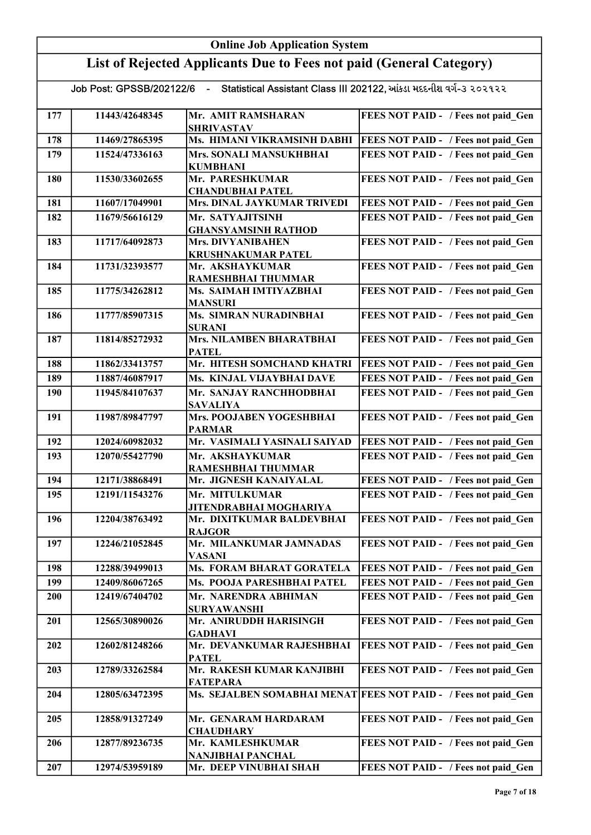|     | <b>Online Job Application System</b> |                                                                      |                                                                 |  |
|-----|--------------------------------------|----------------------------------------------------------------------|-----------------------------------------------------------------|--|
|     |                                      | List of Rejected Applicants Due to Fees not paid (General Category)  |                                                                 |  |
|     | Job Post: GPSSB/202122/6             | - Statistical Assistant Class III 202122, આંકડા મદદનીશ વર્ગ-૩ ૨૦૨૧૨૨ |                                                                 |  |
| 177 | 11443/42648345                       | Mr. AMIT RAMSHARAN<br><b>SHRIVASTAV</b>                              | FEES NOT PAID - / Fees not paid Gen                             |  |
| 178 | 11469/27865395                       | Ms. HIMANI VIKRAMSINH DABHI                                          | <b>FEES NOT PAID - / Fees not paid Gen</b>                      |  |
| 179 | 11524/47336163                       | Mrs. SONALI MANSUKHBHAI<br><b>KUMBHANI</b>                           | FEES NOT PAID - / Fees not paid Gen                             |  |
| 180 | 11530/33602655                       | Mr. PARESHKUMAR<br><b>CHANDUBHAI PATEL</b>                           | FEES NOT PAID - / Fees not paid Gen                             |  |
| 181 | 11607/17049901                       | Mrs. DINAL JAYKUMAR TRIVEDI                                          | FEES NOT PAID - / Fees not paid Gen                             |  |
| 182 | 11679/56616129                       | Mr. SATYAJITSINH                                                     | FEES NOT PAID - / Fees not paid Gen                             |  |
|     |                                      | <b>GHANSYAMSINH RATHOD</b>                                           |                                                                 |  |
| 183 | 11717/64092873                       | <b>Mrs. DIVYANIBAHEN</b><br><b>KRUSHNAKUMAR PATEL</b>                | FEES NOT PAID - / Fees not paid Gen                             |  |
| 184 | 11731/32393577                       | Mr. AKSHAYKUMAR<br>RAMESHBHAI THUMMAR                                | FEES NOT PAID - / Fees not paid Gen                             |  |
| 185 | 11775/34262812                       | Ms. SAIMAH IMTIYAZBHAI<br><b>MANSURI</b>                             | FEES NOT PAID - / Fees not paid Gen                             |  |
| 186 | 11777/85907315                       | Ms. SIMRAN NURADINBHAI<br><b>SURANI</b>                              | FEES NOT PAID - / Fees not paid Gen                             |  |
| 187 | 11814/85272932                       | Mrs. NILAMBEN BHARATBHAI<br><b>PATEL</b>                             | FEES NOT PAID - / Fees not paid Gen                             |  |
| 188 | 11862/33413757                       | Mr. HITESH SOMCHAND KHATRI                                           | <b>FEES NOT PAID - / Fees not paid Gen</b>                      |  |
| 189 | 11887/46087917                       | Ms. KINJAL VIJAYBHAI DAVE                                            | FEES NOT PAID - / Fees not paid Gen                             |  |
| 190 | 11945/84107637                       | Mr. SANJAY RANCHHODBHAI<br><b>SAVALIYA</b>                           | FEES NOT PAID - / Fees not paid Gen                             |  |
| 191 | 11987/89847797                       | Mrs. POOJABEN YOGESHBHAI<br><b>PARMAR</b>                            | FEES NOT PAID - / Fees not paid Gen                             |  |
| 192 | 12024/60982032                       | Mr. VASIMALI YASINALI SAIYAD                                         | FEES NOT PAID - / Fees not paid Gen                             |  |
| 193 | 12070/55427790                       | Mr. AKSHAYKUMAR<br>RAMESHBHAI THUMMAR                                | FEES NOT PAID - / Fees not paid Gen                             |  |
| 194 | 12171/38868491                       | Mr. JIGNESH KANAIYALAL                                               | FEES NOT PAID - / Fees not paid Gen                             |  |
| 195 | 12191/11543276                       | Mr. MITULKUMAR<br><b>JITENDRABHAI MOGHARIYA</b>                      | FEES NOT PAID - / Fees not paid Gen                             |  |
| 196 | 12204/38763492                       | Mr. DIXITKUMAR BALDEVBHAI<br><b>RAJGOR</b>                           | FEES NOT PAID - / Fees not paid Gen                             |  |
| 197 | 12246/21052845                       | Mr. MILANKUMAR JAMNADAS<br>VASANI                                    | FEES NOT PAID - / Fees not paid Gen                             |  |
| 198 | 12288/39499013                       | Ms. FORAM BHARAT GORATELA                                            | FEES NOT PAID - / Fees not paid Gen                             |  |
| 199 | 12409/86067265                       | Ms. POOJA PARESHBHAI PATEL                                           | FEES NOT PAID - / Fees not paid Gen                             |  |
| 200 | 12419/67404702                       | Mr. NARENDRA ABHIMAN<br><b>SURYAWANSHI</b>                           | FEES NOT PAID - / Fees not paid Gen                             |  |
| 201 | 12565/30890026                       | Mr. ANIRUDDH HARISINGH<br>GADHAVI                                    | FEES NOT PAID - / Fees not paid Gen                             |  |
| 202 | 12602/81248266                       | Mr. DEVANKUMAR RAJESHBHAI<br><b>PATEL</b>                            | FEES NOT PAID - / Fees not paid Gen                             |  |
| 203 | 12789/33262584                       | Mr. RAKESH KUMAR KANJIBHI<br><b>FATEPARA</b>                         | FEES NOT PAID - / Fees not paid Gen                             |  |
| 204 | 12805/63472395                       |                                                                      | Ms. SEJALBEN SOMABHAI MENAT FEES NOT PAID - / Fees not paid Gen |  |
| 205 | 12858/91327249                       | Mr. GENARAM HARDARAM<br><b>CHAUDHARY</b>                             | FEES NOT PAID - / Fees not paid Gen                             |  |
| 206 | 12877/89236735                       | Mr. KAMLESHKUMAR<br>NANJIBHAI PANCHAL                                | FEES NOT PAID - / Fees not paid Gen                             |  |
| 207 | 12974/53959189                       | Mr. DEEP VINUBHAI SHAH                                               | FEES NOT PAID - / Fees not paid Gen                             |  |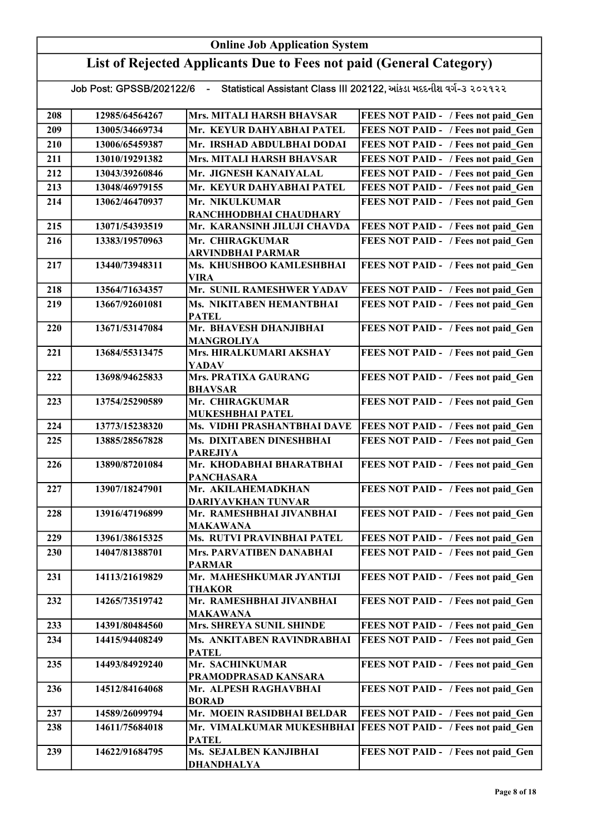|     | <b>Online Job Application System</b> |                                                                      |                                            |  |
|-----|--------------------------------------|----------------------------------------------------------------------|--------------------------------------------|--|
|     |                                      | List of Rejected Applicants Due to Fees not paid (General Category)  |                                            |  |
|     | Job Post: GPSSB/202122/6             | - Statistical Assistant Class III 202122, આંકડા મદદનીશ વર્ગ-૩ ૨૦૨૧૨૨ |                                            |  |
| 208 | 12985/64564267                       | Mrs. MITALI HARSH BHAVSAR                                            | FEES NOT PAID - / Fees not paid Gen        |  |
| 209 | 13005/34669734                       | Mr. KEYUR DAHYABHAI PATEL                                            | FEES NOT PAID - / Fees not paid Gen        |  |
| 210 | 13006/65459387                       | Mr. IRSHAD ABDULBHAI DODAI                                           | FEES NOT PAID - / Fees not paid Gen        |  |
| 211 | 13010/19291382                       | Mrs. MITALI HARSH BHAVSAR                                            | FEES NOT PAID - / Fees not paid Gen        |  |
| 212 | 13043/39260846                       | Mr. JIGNESH KANAIYALAL                                               | FEES NOT PAID - / Fees not paid Gen        |  |
| 213 | 13048/46979155                       | Mr. KEYUR DAHYABHAI PATEL                                            | FEES NOT PAID - / Fees not paid Gen        |  |
| 214 | 13062/46470937                       | Mr. NIKULKUMAR                                                       | FEES NOT PAID - / Fees not paid Gen        |  |
|     |                                      | RANCHHODBHAI CHAUDHARY                                               |                                            |  |
| 215 | 13071/54393519                       | Mr. KARANSINH JILUJI CHAVDA                                          | FEES NOT PAID - / Fees not paid_Gen        |  |
| 216 | 13383/19570963                       | Mr. CHIRAGKUMAR<br><b>ARVINDBHAI PARMAR</b>                          | FEES NOT PAID - / Fees not paid Gen        |  |
| 217 | 13440/73948311                       | Ms. KHUSHBOO KAMLESHBHAI<br><b>VIRA</b>                              | FEES NOT PAID - / Fees not paid Gen        |  |
| 218 | 13564/71634357                       | Mr. SUNIL RAMESHWER YADAV                                            | FEES NOT PAID - / Fees not paid Gen        |  |
| 219 | 13667/92601081                       | Ms. NIKITABEN HEMANTBHAI<br><b>PATEL</b>                             | FEES NOT PAID - / Fees not paid Gen        |  |
| 220 | 13671/53147084                       | Mr. BHAVESH DHANJIBHAI<br>MANGROLIYA                                 | FEES NOT PAID - / Fees not paid Gen        |  |
| 221 | 13684/55313475                       | Mrs. HIRALKUMARI AKSHAY<br><b>YADAV</b>                              | FEES NOT PAID - / Fees not paid_Gen        |  |
| 222 | 13698/94625833                       | Mrs. PRATIXA GAURANG<br><b>BHAVSAR</b>                               | FEES NOT PAID - / Fees not paid_Gen        |  |
| 223 | 13754/25290589                       | Mr. CHIRAGKUMAR<br><b>MUKESHBHAI PATEL</b>                           | FEES NOT PAID - / Fees not paid Gen        |  |
| 224 | 13773/15238320                       | Ms. VIDHI PRASHANTBHAI DAVE                                          | <b>FEES NOT PAID - / Fees not paid Gen</b> |  |
| 225 | 13885/28567828                       | Ms. DIXITABEN DINESHBHAI<br><b>PAREJIYA</b>                          | FEES NOT PAID - / Fees not paid Gen        |  |
| 226 | 13890/87201084                       | Mr. KHODABHAI BHARATBHAI<br><b>PANCHASARA</b>                        | FEES NOT PAID - / Fees not paid Gen        |  |
| 227 | 13907/18247901                       | Mr. AKILAHEMADKHAN<br>DARIYAVKHAN TUNVAR                             | FEES NOT PAID - / Fees not paid Gen        |  |
| 228 | 13916/47196899                       | Mr. RAMESHBHAI JIVANBHAI<br><b>MAKAWANA</b>                          | FEES NOT PAID - / Fees not paid Gen        |  |
| 229 | 13961/38615325                       | Ms. RUTVI PRAVINBHAI PATEL                                           | FEES NOT PAID - / Fees not paid Gen        |  |
| 230 | 14047/81388701                       | Mrs. PARVATIBEN DANABHAI<br><b>PARMAR</b>                            | FEES NOT PAID - / Fees not paid Gen        |  |
| 231 | 14113/21619829                       | Mr. MAHESHKUMAR JYANTIJI<br>THAKOR                                   | FEES NOT PAID - / Fees not paid Gen        |  |
| 232 | 14265/73519742                       | Mr. RAMESHBHAI JIVANBHAI<br>MAKAWANA                                 | FEES NOT PAID - / Fees not paid Gen        |  |
| 233 | 14391/80484560                       | Mrs. SHREYA SUNIL SHINDE                                             | FEES NOT PAID - / Fees not paid Gen        |  |
| 234 | 14415/94408249                       | Ms. ANKITABEN RAVINDRABHAI<br><b>PATEL</b>                           | FEES NOT PAID - / Fees not paid Gen        |  |
| 235 | 14493/84929240                       | Mr. SACHINKUMAR<br>PRAMODPRASAD KANSARA                              | FEES NOT PAID - / Fees not paid Gen        |  |
| 236 | 14512/84164068                       | Mr. ALPESH RAGHAVBHAI<br><b>BORAD</b>                                | FEES NOT PAID - / Fees not paid Gen        |  |
| 237 | 14589/26099794                       | Mr. MOEIN RASIDBHAI BELDAR                                           | FEES NOT PAID - / Fees not paid Gen        |  |
| 238 | 14611/75684018                       | Mr. VIMALKUMAR MUKESHBHAI<br><b>PATEL</b>                            | <b>FEES NOT PAID - / Fees not paid Gen</b> |  |
| 239 | 14622/91684795                       | Ms. SEJALBEN KANJIBHAI<br><b>DHANDHALYA</b>                          | FEES NOT PAID - / Fees not paid Gen        |  |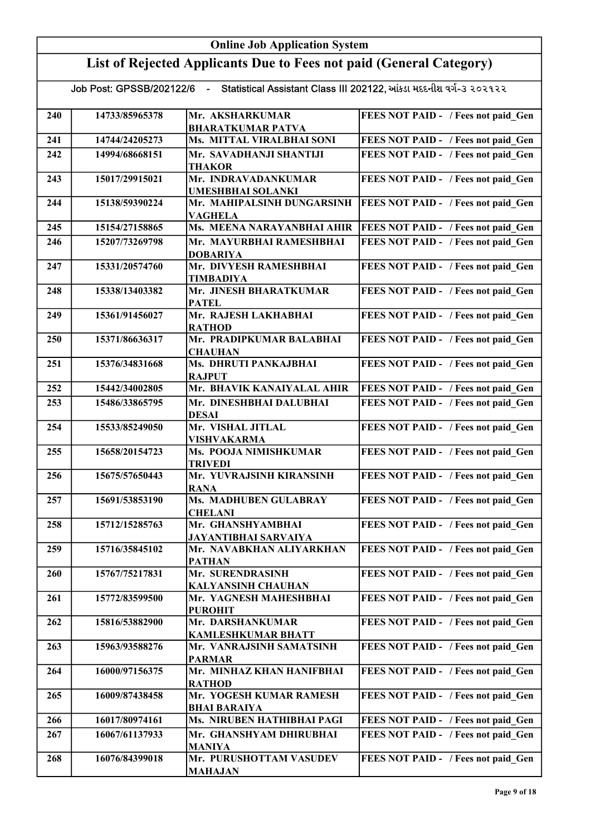|     | <b>Online Job Application System</b> |                                                                      |                                            |  |
|-----|--------------------------------------|----------------------------------------------------------------------|--------------------------------------------|--|
|     |                                      | List of Rejected Applicants Due to Fees not paid (General Category)  |                                            |  |
|     | Job Post: GPSSB/202122/6             | - Statistical Assistant Class III 202122, આંકડા મદદનીશ વર્ગ-૩ ૨૦૨૧૨૨ |                                            |  |
| 240 | 14733/85965378                       | Mr. AKSHARKUMAR<br><b>BHARATKUMAR PATVA</b>                          | FEES NOT PAID - / Fees not paid Gen        |  |
| 241 | 14744/24205273                       | Ms. MITTAL VIRALBHAI SONI                                            | FEES NOT PAID - / Fees not paid Gen        |  |
| 242 | 14994/68668151                       | Mr. SAVADHANJI SHANTIJI                                              | FEES NOT PAID - / Fees not paid Gen        |  |
|     |                                      | <b>THAKOR</b>                                                        |                                            |  |
| 243 | 15017/29915021                       | Mr. INDRAVADANKUMAR<br><b>UMESHBHAI SOLANKI</b>                      | FEES NOT PAID - / Fees not paid Gen        |  |
| 244 | 15138/59390224                       | Mr. MAHIPALSINH DUNGARSINH<br>VAGHELA                                | FEES NOT PAID - / Fees not paid Gen        |  |
| 245 | 15154/27158865                       | Ms. MEENA NARAYANBHAI AHIR                                           | <b>FEES NOT PAID - / Fees not paid Gen</b> |  |
| 246 | 15207/73269798                       | Mr. MAYURBHAI RAMESHBHAI<br><b>DOBARIYA</b>                          | FEES NOT PAID - / Fees not paid Gen        |  |
| 247 | 15331/20574760                       | Mr. DIVYESH RAMESHBHAI<br><b>TIMBADIYA</b>                           | FEES NOT PAID - / Fees not paid Gen        |  |
| 248 | 15338/13403382                       | Mr. JINESH BHARATKUMAR<br><b>PATEL</b>                               | FEES NOT PAID - / Fees not paid Gen        |  |
| 249 | 15361/91456027                       | Mr. RAJESH LAKHABHAI<br><b>RATHOD</b>                                | FEES NOT PAID - / Fees not paid Gen        |  |
| 250 | 15371/86636317                       | Mr. PRADIPKUMAR BALABHAI<br><b>CHAUHAN</b>                           | FEES NOT PAID - / Fees not paid_Gen        |  |
| 251 | 15376/34831668                       | Ms. DHRUTI PANKAJBHAI<br><b>RAJPUT</b>                               | FEES NOT PAID - / Fees not paid Gen        |  |
| 252 | 15442/34002805                       | Mr. BHAVIK KANAIYALAL AHIR                                           | FEES NOT PAID - / Fees not paid Gen        |  |
| 253 | 15486/33865795                       | Mr. DINESHBHAI DALUBHAI<br><b>DESAI</b>                              | FEES NOT PAID - / Fees not paid Gen        |  |
| 254 | 15533/85249050                       | Mr. VISHAL JITLAL<br><b>VISHVAKARMA</b>                              | FEES NOT PAID - / Fees not paid Gen        |  |
| 255 | 15658/20154723                       | Ms. POOJA NIMISHKUMAR<br><b>TRIVEDI</b>                              | FEES NOT PAID - / Fees not paid Gen        |  |
| 256 | 15675/57650443                       | Mr. YUVRAJSINH KIRANSINH<br><b>RANA</b>                              | FEES NOT PAID - / Fees not paid Gen        |  |
| 257 | 15691/53853190                       | Ms. MADHUBEN GULABRAY<br><b>CHELANI</b>                              | FEES NOT PAID - / Fees not paid Gen        |  |
| 258 | 15712/15285763                       | Mr. GHANSHYAMBHAI<br><b>JAYANTIBHAI SARVAIYA</b>                     | FEES NOT PAID - / Fees not paid Gen        |  |
| 259 | 15716/35845102                       | Mr. NAVABKHAN ALIYARKHAN<br><b>PATHAN</b>                            | FEES NOT PAID - / Fees not paid Gen        |  |
| 260 | 15767/75217831                       | Mr. SURENDRASINH<br><b>KALYANSINH CHAUHAN</b>                        | FEES NOT PAID - / Fees not paid Gen        |  |
| 261 | 15772/83599500                       | Mr. YAGNESH MAHESHBHAI<br><b>PUROHIT</b>                             | FEES NOT PAID - / Fees not paid Gen        |  |
| 262 | 15816/53882900                       | Mr. DARSHANKUMAR<br><b>KAMLESHKUMAR BHATT</b>                        | FEES NOT PAID - / Fees not paid Gen        |  |
| 263 | 15963/93588276                       | Mr. VANRAJSINH SAMATSINH<br><b>PARMAR</b>                            | FEES NOT PAID - / Fees not paid Gen        |  |
| 264 | 16000/97156375                       | Mr. MINHAZ KHAN HANIFBHAI<br><b>RATHOD</b>                           | FEES NOT PAID - / Fees not paid Gen        |  |
| 265 | 16009/87438458                       | Mr. YOGESH KUMAR RAMESH<br><b>BHAI BARAIYA</b>                       | FEES NOT PAID - / Fees not paid Gen        |  |
| 266 | 16017/80974161                       | Ms. NIRUBEN HATHIBHAI PAGI                                           | FEES NOT PAID - / Fees not paid Gen        |  |
| 267 | 16067/61137933                       | Mr. GHANSHYAM DHIRUBHAI<br><b>MANIYA</b>                             | FEES NOT PAID - / Fees not paid Gen        |  |
| 268 | 16076/84399018                       | Mr. PURUSHOTTAM VASUDEV<br><b>MAHAJAN</b>                            | FEES NOT PAID - / Fees not paid Gen        |  |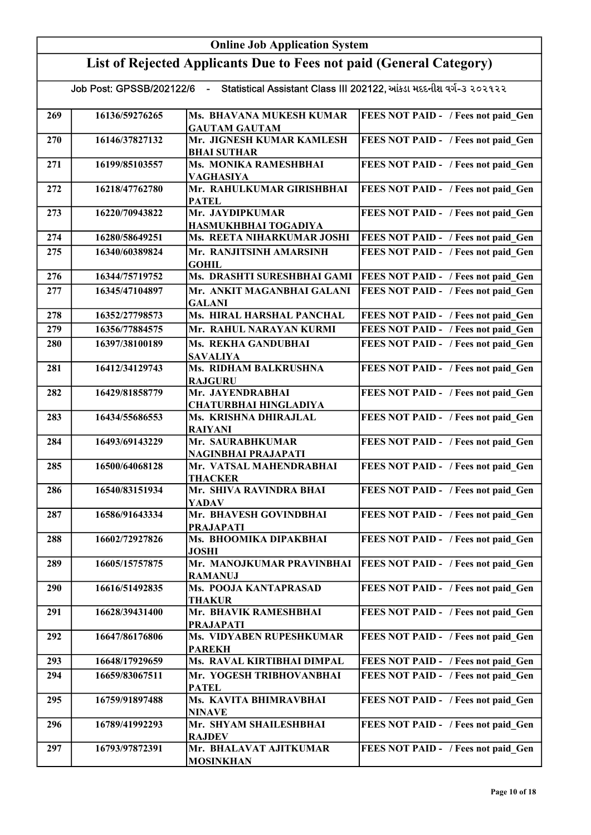|     | <b>Online Job Application System</b> |                                                                      |                                     |
|-----|--------------------------------------|----------------------------------------------------------------------|-------------------------------------|
|     |                                      | List of Rejected Applicants Due to Fees not paid (General Category)  |                                     |
|     | Job Post: GPSSB/202122/6             | - Statistical Assistant Class III 202122, આંકડા મદદનીશ વર્ગ-૩ ૨૦૨૧૨૨ |                                     |
| 269 | 16136/59276265                       | Ms. BHAVANA MUKESH KUMAR<br><b>GAUTAM GAUTAM</b>                     | FEES NOT PAID - / Fees not paid Gen |
| 270 | 16146/37827132                       | Mr. JIGNESH KUMAR KAMLESH<br><b>BHAI SUTHAR</b>                      | FEES NOT PAID - / Fees not paid Gen |
| 271 | 16199/85103557                       | Ms. MONIKA RAMESHBHAI<br>VAGHASIYA                                   | FEES NOT PAID - / Fees not paid Gen |
| 272 | 16218/47762780                       | Mr. RAHULKUMAR GIRISHBHAI<br><b>PATEL</b>                            | FEES NOT PAID - / Fees not paid Gen |
| 273 | 16220/70943822                       | Mr. JAYDIPKUMAR<br>HASMUKHBHAI TOGADIYA                              | FEES NOT PAID - / Fees not paid Gen |
| 274 | 16280/58649251                       | Ms. REETA NIHARKUMAR JOSHI                                           | FEES NOT PAID - / Fees not paid Gen |
| 275 | 16340/60389824                       | Mr. RANJITSINH AMARSINH<br><b>GOHIL</b>                              | FEES NOT PAID - / Fees not paid Gen |
| 276 | 16344/75719752                       | Ms. DRASHTI SURESHBHAI GAMI                                          | FEES NOT PAID - / Fees not paid Gen |
| 277 | 16345/47104897                       | Mr. ANKIT MAGANBHAI GALANI<br><b>GALANI</b>                          | FEES NOT PAID - / Fees not paid Gen |
| 278 | 16352/27798573                       | Ms. HIRAL HARSHAL PANCHAL                                            | FEES NOT PAID - / Fees not paid_Gen |
| 279 | 16356/77884575                       | Mr. RAHUL NARAYAN KURMI                                              | FEES NOT PAID - / Fees not paid Gen |
| 280 | 16397/38100189                       | Ms. REKHA GANDUBHAI                                                  | FEES NOT PAID - / Fees not paid_Gen |
| 281 | 16412/34129743                       | <b>SAVALIYA</b><br>Ms. RIDHAM BALKRUSHNA<br><b>RAJGURU</b>           | FEES NOT PAID - / Fees not paid Gen |
| 282 | 16429/81858779                       | Mr. JAYENDRABHAI<br><b>CHATURBHAI HINGLADIYA</b>                     | FEES NOT PAID - / Fees not paid Gen |
| 283 | 16434/55686553                       | Ms. KRISHNA DHIRAJLAL<br><b>RAIYANI</b>                              | FEES NOT PAID - / Fees not paid Gen |
| 284 | 16493/69143229                       | Mr. SAURABHKUMAR<br>NAGINBHAI PRAJAPATI                              | FEES NOT PAID - / Fees not paid Gen |
| 285 | 16500/64068128                       | Mr. VATSAL MAHENDRABHAI<br><b>THACKER</b>                            | FEES NOT PAID - / Fees not paid Gen |
| 286 | 16540/83151934                       | Mr. SHIVA RAVINDRA BHAI<br>YADAV                                     | FEES NOT PAID - / Fees not paid Gen |
| 287 | 16586/91643334                       | Mr. BHAVESH GOVINDBHAI<br><b>PRAJAPATI</b>                           | FEES NOT PAID - / Fees not paid Gen |
| 288 | 16602/72927826                       | Ms. BHOOMIKA DIPAKBHAI<br><b>JOSHI</b>                               | FEES NOT PAID - / Fees not paid Gen |
| 289 | 16605/15757875                       | Mr. MANOJKUMAR PRAVINBHAI<br><b>RAMANUJ</b>                          | FEES NOT PAID - / Fees not paid Gen |
| 290 | 16616/51492835                       | Ms. POOJA KANTAPRASAD<br><b>THAKUR</b>                               | FEES NOT PAID - / Fees not paid Gen |
| 291 | 16628/39431400                       | Mr. BHAVIK RAMESHBHAI<br><b>PRAJAPATI</b>                            | FEES NOT PAID - / Fees not paid Gen |
| 292 | 16647/86176806                       | Ms. VIDYABEN RUPESHKUMAR<br><b>PAREKH</b>                            | FEES NOT PAID - / Fees not paid Gen |
| 293 | 16648/17929659                       | Ms. RAVAL KIRTIBHAI DIMPAL                                           | FEES NOT PAID - / Fees not paid Gen |
| 294 | 16659/83067511                       | Mr. YOGESH TRIBHOVANBHAI<br><b>PATEL</b>                             | FEES NOT PAID - / Fees not paid Gen |
| 295 | 16759/91897488                       | Ms. KAVITA BHIMRAVBHAI<br>NINAVE                                     | FEES NOT PAID - / Fees not paid Gen |
| 296 | 16789/41992293                       | Mr. SHYAM SHAILESHBHAI<br><b>RAJDEV</b>                              | FEES NOT PAID - / Fees not paid Gen |
| 297 | 16793/97872391                       | Mr. BHALAVAT AJITKUMAR<br><b>MOSINKHAN</b>                           | FEES NOT PAID - / Fees not paid Gen |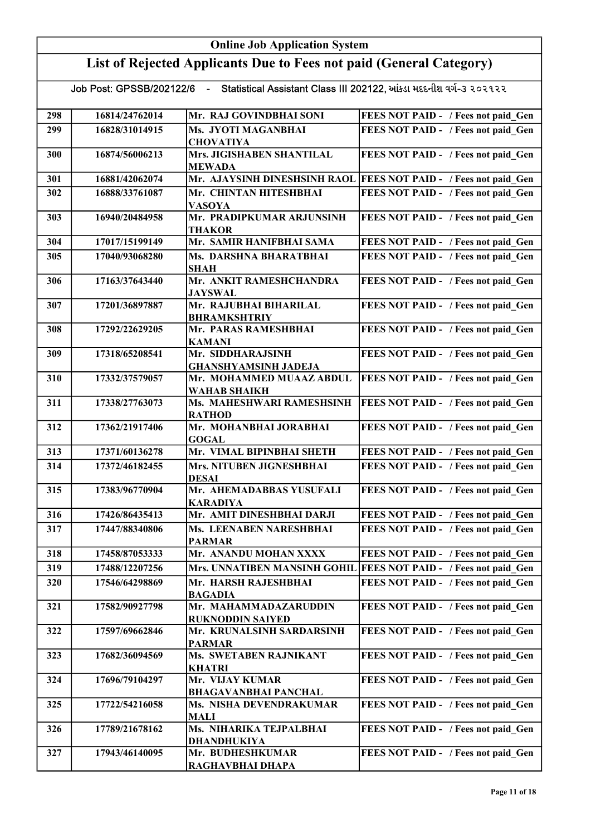## Online Job Application System List of Rejected Applicants Due to Fees not paid (General Category) Job Post: GPSSB/202122/6 - Statistical Assistant Class III 202122, આંકડા મદદનીશ વર્ગ-૩ ૨૦૨૧૨૨ 298 16814/24762014 Mr. RAJ GOVINDBHAI SONI FEES NOT PAID - / Fees not paid Gen 299 16828/31014915 Ms. JYOTI MAGANBHAI **CHOVATIYA** FEES NOT PAID - / Fees not paid Gen 300 16874/56006213 Mrs. JIGISHABEN SHANTILAL MEWADA FEES NOT PAID - / Fees not paid Gen 301 16881/42062074 Mr. AJAYSINH DINESHSINH RAOL FEES NOT PAID - / Fees not paid\_Gen 302 16888/33761087 Mr. CHINTAN HITESHBHAI VASOYA FEES NOT PAID - / Fees not paid Gen 303 16940/20484958 Mr. PRADIPKUMAR ARJUNSINH THAKOR FEES NOT PAID - / Fees not paid Gen 304 17017/15199149 Mr. SAMIR HANIFBHAI SAMA FEES NOT PAID - / Fees not paid Gen 305 17040/93068280 Ms. DARSHNA BHARATBHAI SHAH FEES NOT PAID - / Fees not paid\_Gen 306 17163/37643440 Mr. ANKIT RAMESHCHANDRA JAYSWAL FEES NOT PAID - / Fees not paid Gen 307 17201/36897887 Mr. RAJUBHAI BIHARILAL BHRAMKSHTRIY FEES NOT PAID - / Fees not paid Gen 308 17292/22629205 Mr. PARAS RAMESHBHAI KAMANI FEES NOT PAID - / Fees not paid Gen 309 17318/65208541 Mr. SIDDHARAJSINH GHANSHYAMSINH JADEJA FEES NOT PAID - / Fees not paid Gen 310 17332/37579057 Mr. MOHAMMED MUAAZ ABDUL WAHAB SHAIKH FEES NOT PAID - / Fees not paid Gen 311 | 17338/27763073 | Ms. MAHESHWARI RAMESHSINH RATHOD FEES NOT PAID - / Fees not paid Gen 312 17362/21917406 Mr. MOHANBHAI JORABHAI GOGAL FEES NOT PAID - / Fees not paid Gen 313 17371/60136278 Mr. VIMAL BIPINBHAI SHETH FEES NOT PAID - / Fees not paid Gen 314 17372/46182455 Mrs. NITUBEN JIGNESHBHAI DESAI FEES NOT PAID - / Fees not paid Gen 315 17383/96770904 Mr. AHEMADABBAS YUSUFALI KARADIYA FEES NOT PAID - / Fees not paid\_Gen 316 17426/86435413 Mr. AMIT DINESHBHAI DARJI FEES NOT PAID - / Fees not paid\_Gen 317 17447/88340806 Ms. LEENABEN NARESHBHAI PARMAR FEES NOT PAID - / Fees not paid Gen 318 17458/87053333 Mr. ANANDU MOHAN XXXX FEES NOT PAID - / Fees not paid Gen 319 17488/12207256 Mrs. UNNATIBEN MANSINH GOHIL FEES NOT PAID - / Fees not paid Gen 320 17546/64298869 Mr. HARSH RAJESHBHAI BAGADIA FEES NOT PAID - / Fees not paid Gen 321 17582/90927798 Mr. MAHAMMADAZARUDDIN RUKNODDIN SAIYED FEES NOT PAID - / Fees not paid Gen 322 17597/69662846 Mr. KRUNALSINH SARDARSINH PARMAR FEES NOT PAID - / Fees not paid Gen 323 17682/36094569 Ms. SWETABEN RAJNIKANT KHATRI FEES NOT PAID - / Fees not paid Gen 324 17696/79104297 Mr. VIJAY KUMAR BHAGAVANBHAI PANCHAL FEES NOT PAID - / Fees not paid Gen 325 17722/54216058 Ms. NISHA DEVENDRAKUMAR MALI FEES NOT PAID - / Fees not paid Gen 326 | 17789/21678162 | Ms. NIHARIKA TEJPALBHAI DHANDHUKIYA FEES NOT PAID - / Fees not paid Gen 327 17943/46140095 Mr. BUDHESHKUMAR RAGHAVBHAI DHAPA FEES NOT PAID - / Fees not paid Gen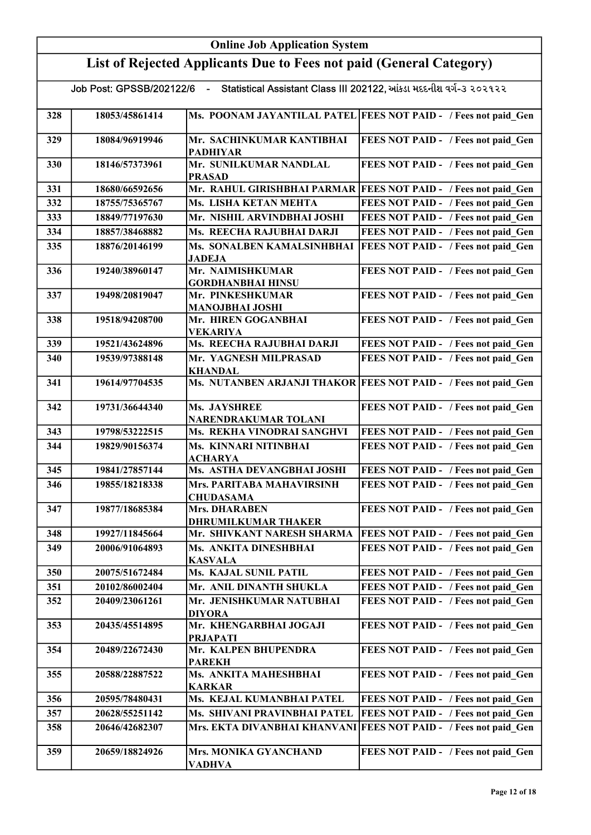|     |                                                                     | <b>Online Job Application System</b>               |                                                                    |  |
|-----|---------------------------------------------------------------------|----------------------------------------------------|--------------------------------------------------------------------|--|
|     | List of Rejected Applicants Due to Fees not paid (General Category) |                                                    |                                                                    |  |
|     | Job Post: GPSSB/202122/6                                            | $\blacksquare$                                     | Statistical Assistant Class III 202122, આંકડા મદદનીશ વર્ગ-3 ૨૦૨૧૨૨ |  |
| 328 | 18053/45861414                                                      |                                                    | Ms. POONAM JAYANTILAL PATEL FEES NOT PAID - / Fees not paid Gen    |  |
| 329 | 18084/96919946                                                      | Mr. SACHINKUMAR KANTIBHAI<br><b>PADHIYAR</b>       | FEES NOT PAID - / Fees not paid Gen                                |  |
| 330 | 18146/57373961                                                      | Mr. SUNILKUMAR NANDLAL<br><b>PRASAD</b>            | FEES NOT PAID - / Fees not paid Gen                                |  |
| 331 | 18680/66592656                                                      |                                                    | Mr. RAHUL GIRISHBHAI PARMAR FEES NOT PAID - / Fees not paid_Gen    |  |
| 332 | 18755/75365767                                                      | Ms. LISHA KETAN MEHTA                              | FEES NOT PAID - / Fees not paid Gen                                |  |
| 333 | 18849/77197630                                                      | Mr. NISHIL ARVINDBHAI JOSHI                        | FEES NOT PAID - / Fees not paid Gen                                |  |
| 334 | 18857/38468882                                                      | Ms. REECHA RAJUBHAI DARJI                          | FEES NOT PAID - / Fees not paid Gen                                |  |
| 335 | 18876/20146199                                                      | Ms. SONALBEN KAMALSINHBHAI<br><b>JADEJA</b>        | <b>FEES NOT PAID - / Fees not paid Gen</b>                         |  |
| 336 | 19240/38960147                                                      | Mr. NAIMISHKUMAR<br><b>GORDHANBHAI HINSU</b>       | FEES NOT PAID - / Fees not paid Gen                                |  |
| 337 | 19498/20819047                                                      | Mr. PINKESHKUMAR<br><b>MANOJBHAI JOSHI</b>         | FEES NOT PAID - / Fees not paid Gen                                |  |
| 338 | 19518/94208700                                                      | Mr. HIREN GOGANBHAI<br><b>VEKARIYA</b>             | FEES NOT PAID - / Fees not paid Gen                                |  |
| 339 | 19521/43624896                                                      | Ms. REECHA RAJUBHAI DARJI                          | FEES NOT PAID - / Fees not paid Gen                                |  |
| 340 | 19539/97388148                                                      | Mr. YAGNESH MILPRASAD<br><b>KHANDAL</b>            | FEES NOT PAID - / Fees not paid Gen                                |  |
| 341 | 19614/97704535                                                      |                                                    | Ms. NUTANBEN ARJANJI THAKOR FEES NOT PAID - / Fees not paid Gen    |  |
| 342 | 19731/36644340                                                      | Ms. JAYSHREE<br>NARENDRAKUMAR TOLANI               | FEES NOT PAID - / Fees not paid Gen                                |  |
| 343 | 19798/53222515                                                      | Ms. REKHA VINODRAI SANGHVI                         | FEES NOT PAID - / Fees not paid Gen                                |  |
| 344 | 19829/90156374                                                      | Ms. KINNARI NITINBHAI<br><b>ACHARYA</b>            | FEES NOT PAID - / Fees not paid Gen                                |  |
| 345 | 19841/27857144                                                      | Ms. ASTHA DEVANGBHAI JOSHI                         | FEES NOT PAID - / Fees not paid Gen                                |  |
| 346 | 19855/18218338                                                      | Mrs. PARITABA MAHAVIRSINH<br><b>CHUDASAMA</b>      | FEES NOT PAID - / Fees not paid Gen                                |  |
| 347 | 19877/18685384                                                      | <b>Mrs. DHARABEN</b><br><b>DHRUMILKUMAR THAKER</b> | FEES NOT PAID - / Fees not paid Gen                                |  |
| 348 | 19927/11845664                                                      | Mr. SHIVKANT NARESH SHARMA                         | <b>FEES NOT PAID - / Fees not paid Gen</b>                         |  |
| 349 | 20006/91064893                                                      | Ms. ANKITA DINESHBHAI<br><b>KASVALA</b>            | FEES NOT PAID - / Fees not paid Gen                                |  |
| 350 | 20075/51672484                                                      | Ms. KAJAL SUNIL PATIL                              | FEES NOT PAID - / Fees not paid Gen                                |  |
| 351 | 20102/86002404                                                      | Mr. ANIL DINANTH SHUKLA                            | FEES NOT PAID - / Fees not paid Gen                                |  |
| 352 | 20409/23061261                                                      | Mr. JENISHKUMAR NATUBHAI<br><b>DIYORA</b>          | FEES NOT PAID - / Fees not paid Gen                                |  |
| 353 | 20435/45514895                                                      | Mr. KHENGARBHAI JOGAJI<br><b>PRJAPATI</b>          | FEES NOT PAID - / Fees not paid Gen                                |  |
| 354 | 20489/22672430                                                      | Mr. KALPEN BHUPENDRA<br><b>PAREKH</b>              | FEES NOT PAID - / Fees not paid Gen                                |  |
| 355 | 20588/22887522                                                      | Ms. ANKITA MAHESHBHAI<br><b>KARKAR</b>             | FEES NOT PAID - / Fees not paid Gen                                |  |
| 356 | 20595/78480431                                                      | Ms. KEJAL KUMANBHAI PATEL                          | FEES NOT PAID - / Fees not paid Gen                                |  |
| 357 | 20628/55251142                                                      | Ms. SHIVANI PRAVINBHAI PATEL                       | FEES NOT PAID - / Fees not paid Gen                                |  |
| 358 | 20646/42682307                                                      | Mrs. EKTA DIVANBHAI KHANVANI                       | <b>FEES NOT PAID - / Fees not paid Gen</b>                         |  |
| 359 | 20659/18824926                                                      | Mrs. MONIKA GYANCHAND<br><b>VADHVA</b>             | FEES NOT PAID - / Fees not paid Gen                                |  |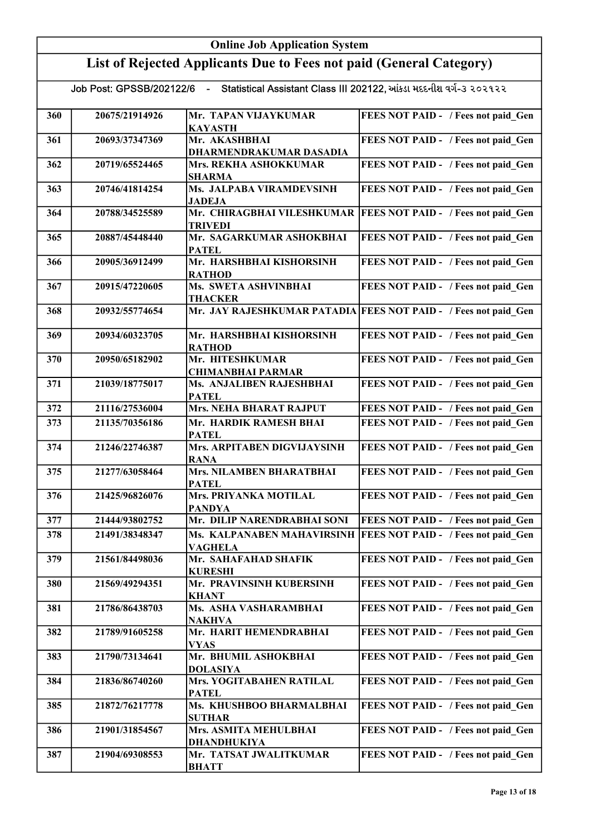|     | <b>Online Job Application System</b>                                |                                                                                               |                                            |  |
|-----|---------------------------------------------------------------------|-----------------------------------------------------------------------------------------------|--------------------------------------------|--|
|     | List of Rejected Applicants Due to Fees not paid (General Category) |                                                                                               |                                            |  |
|     |                                                                     | Job Post: GPSSB/202122/6 - Statistical Assistant Class III 202122, આંકડા મદદનીશ વર્ગ-૩ ૨૦૨૧૨૨ |                                            |  |
| 360 | 20675/21914926                                                      | Mr. TAPAN VIJAYKUMAR<br><b>KAYASTH</b>                                                        | FEES NOT PAID - / Fees not paid Gen        |  |
| 361 | 20693/37347369                                                      | Mr. AKASHBHAI<br>DHARMENDRAKUMAR DASADIA                                                      | FEES NOT PAID - / Fees not paid_Gen        |  |
| 362 | 20719/65524465                                                      | Mrs. REKHA ASHOKKUMAR<br><b>SHARMA</b>                                                        | FEES NOT PAID - / Fees not paid Gen        |  |
| 363 | 20746/41814254                                                      | Ms. JALPABA VIRAMDEVSINH<br><b>JADEJA</b>                                                     | FEES NOT PAID - / Fees not paid Gen        |  |
| 364 | 20788/34525589                                                      | Mr. CHIRAGBHAI VILESHKUMAR<br><b>TRIVEDI</b>                                                  | <b>FEES NOT PAID - / Fees not paid Gen</b> |  |
| 365 | 20887/45448440                                                      | Mr. SAGARKUMAR ASHOKBHAI<br><b>PATEL</b>                                                      | FEES NOT PAID - / Fees not paid Gen        |  |
| 366 | 20905/36912499                                                      | Mr. HARSHBHAI KISHORSINH<br><b>RATHOD</b>                                                     | FEES NOT PAID - / Fees not paid Gen        |  |
| 367 | 20915/47220605                                                      | Ms. SWETA ASHVINBHAI<br><b>THACKER</b>                                                        | FEES NOT PAID - / Fees not paid Gen        |  |
| 368 | 20932/55774654                                                      | Mr. JAY RAJESHKUMAR PATADIA                                                                   | <b>FEES NOT PAID - / Fees not paid Gen</b> |  |
| 369 | 20934/60323705                                                      | Mr. HARSHBHAI KISHORSINH<br><b>RATHOD</b>                                                     | FEES NOT PAID - / Fees not paid Gen        |  |
| 370 | 20950/65182902                                                      | Mr. HITESHKUMAR<br><b>CHIMANBHAI PARMAR</b>                                                   | FEES NOT PAID - / Fees not paid Gen        |  |
| 371 | 21039/18775017                                                      | Ms. ANJALIBEN RAJESHBHAI<br><b>PATEL</b>                                                      | FEES NOT PAID - / Fees not paid Gen        |  |
| 372 | 21116/27536004                                                      | <b>Mrs. NEHA BHARAT RAJPUT</b>                                                                | FEES NOT PAID - / Fees not paid Gen        |  |
| 373 | 21135/70356186                                                      | Mr. HARDIK RAMESH BHAI<br><b>PATEL</b>                                                        | FEES NOT PAID - / Fees not paid Gen        |  |
| 374 | 21246/22746387                                                      | Mrs. ARPITABEN DIGVIJAYSINH<br><b>RANA</b>                                                    | FEES NOT PAID - / Fees not paid Gen        |  |
| 375 | 21277/63058464                                                      | <b>Mrs. NILAMBEN BHARATBHAI</b><br><b>PATEL</b>                                               | FEES NOT PAID - / Fees not paid Gen        |  |
| 376 | 21425/96826076                                                      | Mrs. PRIYANKA MOTILAL<br><b>PANDYA</b>                                                        | FEES NOT PAID - / Fees not paid Gen        |  |
| 377 | 21444/93802752                                                      | Mr. DILIP NARENDRABHAI SONI                                                                   | FEES NOT PAID - / Fees not paid Gen        |  |
| 378 | 21491/38348347                                                      | Ms. KALPANABEN MAHAVIRSINH<br><b>VAGHELA</b>                                                  | <b>FEES NOT PAID - / Fees not paid Gen</b> |  |
| 379 | 21561/84498036                                                      | Mr. SAHAFAHAD SHAFIK<br><b>KURESHI</b>                                                        | FEES NOT PAID - / Fees not paid_Gen        |  |
| 380 | 21569/49294351                                                      | Mr. PRAVINSINH KUBERSINH<br><b>KHANT</b>                                                      | FEES NOT PAID - / Fees not paid Gen        |  |
| 381 | 21786/86438703                                                      | Ms. ASHA VASHARAMBHAI<br><b>NAKHVA</b>                                                        | FEES NOT PAID - / Fees not paid Gen        |  |
| 382 | 21789/91605258                                                      | Mr. HARIT HEMENDRABHAI<br><b>VYAS</b>                                                         | FEES NOT PAID - / Fees not paid Gen        |  |
| 383 | 21790/73134641                                                      | Mr. BHUMIL ASHOKBHAI<br><b>DOLASIYA</b>                                                       | FEES NOT PAID - / Fees not paid Gen        |  |
| 384 | 21836/86740260                                                      | Mrs. YOGITABAHEN RATILAL<br><b>PATEL</b>                                                      | FEES NOT PAID - / Fees not paid Gen        |  |
| 385 | 21872/76217778                                                      | Ms. KHUSHBOO BHARMALBHAI<br><b>SUTHAR</b>                                                     | FEES NOT PAID - / Fees not paid Gen        |  |
| 386 | 21901/31854567                                                      | Mrs. ASMITA MEHULBHAI<br>DHANDHUKIYA                                                          | FEES NOT PAID - / Fees not paid Gen        |  |
| 387 | 21904/69308553                                                      | Mr. TATSAT JWALITKUMAR<br><b>BHATT</b>                                                        | FEES NOT PAID - / Fees not paid Gen        |  |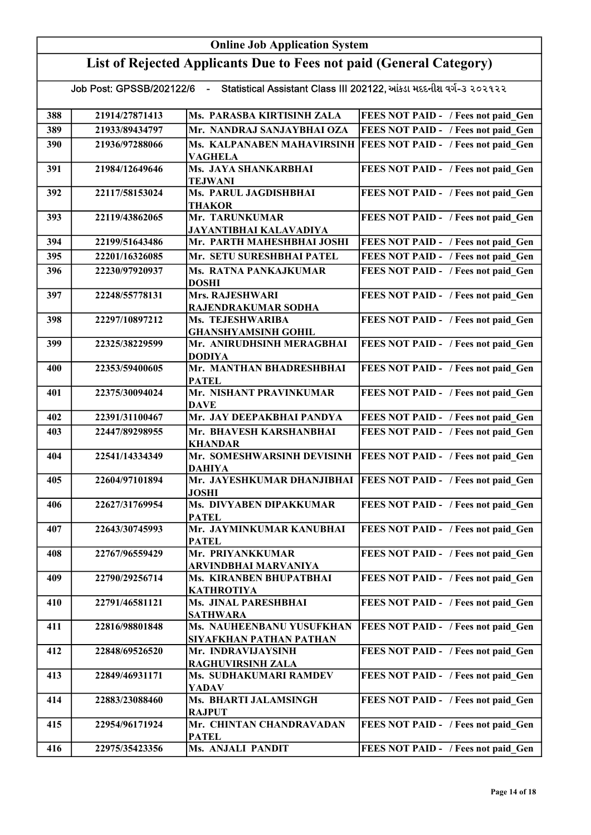## Online Job Application System List of Rejected Applicants Due to Fees not paid (General Category) Job Post: GPSSB/202122/6 - Statistical Assistant Class III 202122, આંકડા મદદનીશ વર્ગ-૩ ૨૦૨૧૨૨ 388 21914/27871413 Ms. PARASBA KIRTISINH ZALA FEES NOT PAID - / Fees not paid\_Gen 389 21933/89434797 Mr. NANDRAJ SANJAYBHAI OZA FEES NOT PAID - / Fees not paid Gen 390 21936/97288066 Ms. KALPANABEN MAHAVIRSINH FEES NOT PAID - / Fees not paid\_Gen VAGHELA 391 21984/12649646 Ms. JAYA SHANKARBHAI TEJWANI FEES NOT PAID - / Fees not paid Gen 392 22117/58153024 Ms. PARUL JAGDISHBHAI THAKOR FEES NOT PAID - / Fees not paid Gen 393 22119/43862065 Mr. TARUNKUMAR JAYANTIBHAI KALAVADIYA FEES NOT PAID - / Fees not paid Gen 394 22199/51643486 Mr. PARTH MAHESHBHAI JOSHI FEES NOT PAID - / Fees not paid Gen 395 22201/16326085 Mr. SETU SURESHBHAI PATEL FEES NOT PAID - / Fees not paid\_Gen 396 22230/97920937 Ms. RATNA PANKAJKUMAR DOSHI FEES NOT PAID - / Fees not paid\_Gen 397 22248/55778131 Mrs. RAJESHWARI RAJENDRAKUMAR SODHA FEES NOT PAID - / Fees not paid Gen 398 22297/10897212 Ms. TEJESHWARIBA GHANSHYAMSINH GOHIL FEES NOT PAID - / Fees not paid Gen 399 22325/38229599 Mr. ANIRUDHSINH MERAGBHAI DODIYA FEES NOT PAID - / Fees not paid Gen 400 22353/59400605 Mr. MANTHAN BHADRESHBHAI PATEL FEES NOT PAID - / Fees not paid Gen 401 22375/30094024 Mr. NISHANT PRAVINKUMAR **DAVE** FEES NOT PAID - / Fees not paid Gen 402 | 22391/31100467 | Mr. JAY DEEPAKBHAI PANDYA | FEES NOT PAID - / Fees not paid\_Gen 403 22447/89298955 Mr. BHAVESH KARSHANBHAI KHANDAR FEES NOT PAID - / Fees not paid Gen 404 22541/14334349 Mr. SOMESHWARSINH DEVISINH DAHIYA FEES NOT PAID - / Fees not paid\_Gen 405 22604/97101894 Mr. JAYESHKUMAR DHANJIBHAI FEES NOT PAID - / Fees not paid\_Gen JOSHI 406 22627/31769954 Ms. DIVYABEN DIPAKKUMAR **PATEL** FEES NOT PAID - / Fees not paid Gen 407 22643/30745993 Mr. JAYMINKUMAR KANUBHAI PATEL FEES NOT PAID - / Fees not paid Gen 408 22767/96559429 Mr. PRIYANKKUMAR ARVINDBHAI MARVANIYA FEES NOT PAID - / Fees not paid Gen 409 | 22790/29256714 | Ms. KIRANBEN BHUPATBHAI KATHROTIYA FEES NOT PAID - / Fees not paid\_Gen 410 22791/46581121 Ms. JINAL PARESHBHAI **SATHWARA** FEES NOT PAID - / Fees not paid Gen 411 22816/98801848 Ms. NAUHEENBANU YUSUFKHAN SIYAFKHAN PATHAN PATHAN FEES NOT PAID - / Fees not paid Gen 412 22848/69526520 Mr. INDRAVIJAYSINH RAGHUVIRSINH ZALA FEES NOT PAID - / Fees not paid Gen 413 | 22849/46931171 | Ms. SUDHAKUMARI RAMDEV YADAV FEES NOT PAID - / Fees not paid Gen 414 22883/23088460 Ms. BHARTI JALAMSINGH RAJPUT FEES NOT PAID - / Fees not paid Gen 415 22954/96171924 Mr. CHINTAN CHANDRAVADAN PATEL FEES NOT PAID - / Fees not paid Gen 416 22975/35423356 Ms. ANJALI PANDIT FEES NOT PAID - / Fees not paid\_Gen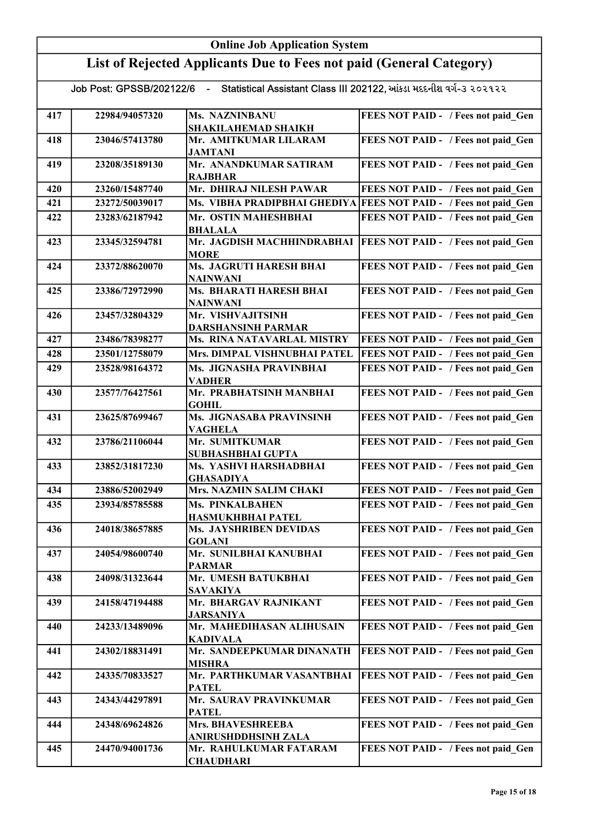|                                                                                               | <b>Online Job Application System</b> |                                                |                                                                  |  |  |
|-----------------------------------------------------------------------------------------------|--------------------------------------|------------------------------------------------|------------------------------------------------------------------|--|--|
| List of Rejected Applicants Due to Fees not paid (General Category)                           |                                      |                                                |                                                                  |  |  |
| Job Post: GPSSB/202122/6 - Statistical Assistant Class III 202122, આંકડા મદદનીશ વર્ગ-૩ ૨૦૨૧૨૨ |                                      |                                                |                                                                  |  |  |
| 417                                                                                           | 22984/94057320                       | Ms. NAZNINBANU<br>SHAKILAHEMAD SHAIKH          | FEES NOT PAID - / Fees not paid Gen                              |  |  |
| 418                                                                                           | 23046/57413780                       | Mr. AMITKUMAR LILARAM<br><b>JAMTANI</b>        | FEES NOT PAID - / Fees not paid Gen                              |  |  |
| 419                                                                                           | 23208/35189130                       | Mr. ANANDKUMAR SATIRAM<br><b>RAJBHAR</b>       | FEES NOT PAID - / Fees not paid Gen                              |  |  |
| 420                                                                                           | 23260/15487740                       | Mr. DHIRAJ NILESH PAWAR                        | FEES NOT PAID - / Fees not paid Gen                              |  |  |
| 421                                                                                           | 23272/50039017                       |                                                | Ms. VIBHA PRADIPBHAI GHEDIYA FEES NOT PAID - / Fees not paid Gen |  |  |
| 422                                                                                           | 23283/62187942                       | Mr. OSTIN MAHESHBHAI<br><b>BHALALA</b>         | FEES NOT PAID - / Fees not paid Gen                              |  |  |
| 423                                                                                           | 23345/32594781                       | Mr. JAGDISH MACHHINDRABHAI<br><b>MORE</b>      | <b>FEES NOT PAID - / Fees not paid Gen</b>                       |  |  |
| 424                                                                                           | 23372/88620070                       | Ms. JAGRUTI HARESH BHAI<br><b>NAINWANI</b>     | FEES NOT PAID - / Fees not paid Gen                              |  |  |
| 425                                                                                           | 23386/72972990                       | <b>Ms. BHARATI HARESH BHAI</b><br>NAINWANI     | FEES NOT PAID - / Fees not paid Gen                              |  |  |
| 426                                                                                           | 23457/32804329                       | Mr. VISHVAJITSINH<br><b>DARSHANSINH PARMAR</b> | FEES NOT PAID - / Fees not paid Gen                              |  |  |
| 427                                                                                           | 23486/78398277                       | Ms. RINA NATAVARLAL MISTRY                     | FEES NOT PAID - / Fees not paid Gen                              |  |  |
| 428                                                                                           | 23501/12758079                       | Mrs. DIMPAL VISHNUBHAI PATEL                   | FEES NOT PAID - / Fees not paid Gen                              |  |  |
| 429                                                                                           | 23528/98164372                       | Ms. JIGNASHA PRAVINBHAI<br><b>VADHER</b>       | FEES NOT PAID - / Fees not paid Gen                              |  |  |
| 430                                                                                           | 23577/76427561                       | Mr. PRABHATSINH MANBHAI<br><b>GOHIL</b>        | FEES NOT PAID - / Fees not paid Gen                              |  |  |
| 431                                                                                           | 23625/87699467                       | Ms. JIGNASABA PRAVINSINH<br><b>VAGHELA</b>     | FEES NOT PAID - / Fees not paid Gen                              |  |  |
| 432                                                                                           | 23786/21106044                       | Mr. SUMITKUMAR<br>SUBHASHBHAI GUPTA            | FEES NOT PAID - / Fees not paid Gen                              |  |  |
| 433                                                                                           | 23852/31817230                       | Ms. YASHVI HARSHADBHAI<br><b>GHASADIYA</b>     | FEES NOT PAID - / Fees not paid Gen                              |  |  |
| 434                                                                                           | 23886/52002949                       | Mrs. NAZMIN SALIM CHAKI                        | FEES NOT PAID - / Fees not paid Gen                              |  |  |
| 435                                                                                           | 23934/85785588                       | Ms. PINKALBAHEN<br>HASMUKHBHAI PATEL           | FEES NOT PAID - / Fees not paid Gen                              |  |  |
| 436                                                                                           | 24018/38657885                       | Ms. JAYSHRIBEN DEVIDAS<br><b>GOLANI</b>        | FEES NOT PAID - / Fees not paid Gen                              |  |  |
| 437                                                                                           | 24054/98600740                       | Mr. SUNILBHAI KANUBHAI<br><b>PARMAR</b>        | FEES NOT PAID - / Fees not paid Gen                              |  |  |
| 438                                                                                           | 24098/31323644                       | Mr. UMESH BATUKBHAI<br>SAVAKIYA                | FEES NOT PAID - / Fees not paid Gen                              |  |  |
| 439                                                                                           | 24158/47194488                       | Mr. BHARGAV RAJNIKANT<br>JARSANIYA             | FEES NOT PAID - / Fees not paid Gen                              |  |  |
| 440                                                                                           | 24233/13489096                       | Mr. MAHEDIHASAN ALIHUSAIN<br><b>KADIVALA</b>   | FEES NOT PAID - / Fees not paid Gen                              |  |  |
| 441                                                                                           | 24302/18831491                       | Mr. SANDEEPKUMAR DINANATH<br><b>MISHRA</b>     | FEES NOT PAID - / Fees not paid Gen                              |  |  |
| 442                                                                                           | 24335/70833527                       | Mr. PARTHKUMAR VASANTBHAI<br><b>PATEL</b>      | FEES NOT PAID - / Fees not paid Gen                              |  |  |
| 443                                                                                           | 24343/44297891                       | Mr. SAURAV PRAVINKUMAR<br><b>PATEL</b>         | FEES NOT PAID - / Fees not paid Gen                              |  |  |
| 444                                                                                           | 24348/69624826                       | Mrs. BHAVESHREEBA<br>ANIRUSHDDHSINH ZALA       | FEES NOT PAID - / Fees not paid Gen                              |  |  |
| 445                                                                                           | 24470/94001736                       | Mr. RAHULKUMAR FATARAM<br><b>CHAUDHARI</b>     | FEES NOT PAID - / Fees not paid Gen                              |  |  |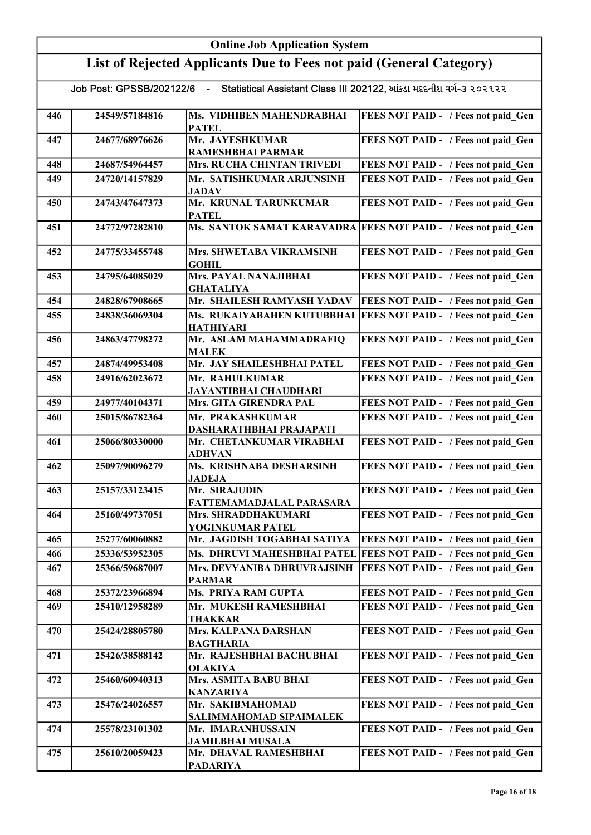|                                                                                                  | <b>Online Job Application System</b> |                                                |                                                                |  |  |
|--------------------------------------------------------------------------------------------------|--------------------------------------|------------------------------------------------|----------------------------------------------------------------|--|--|
| List of Rejected Applicants Due to Fees not paid (General Category)                              |                                      |                                                |                                                                |  |  |
| Statistical Assistant Class III 202122, આંકડા મદદનીશ વર્ગ-૩ ૨૦૨૧૨૨<br>Job Post: GPSSB/202122/6 - |                                      |                                                |                                                                |  |  |
| 446                                                                                              | 24549/57184816                       | Ms. VIDHIBEN MAHENDRABHAI<br><b>PATEL</b>      | FEES NOT PAID - / Fees not paid Gen                            |  |  |
| 447                                                                                              | 24677/68976626                       | Mr. JAYESHKUMAR<br><b>RAMESHBHAI PARMAR</b>    | FEES NOT PAID - / Fees not paid Gen                            |  |  |
| 448                                                                                              | 24687/54964457                       | Mrs. RUCHA CHINTAN TRIVEDI                     | FEES NOT PAID - / Fees not paid Gen                            |  |  |
| 449                                                                                              | 24720/14157829                       | Mr. SATISHKUMAR ARJUNSINH<br><b>JADAV</b>      | FEES NOT PAID - / Fees not paid Gen                            |  |  |
| 450                                                                                              | 24743/47647373                       | Mr. KRUNAL TARUNKUMAR<br><b>PATEL</b>          | FEES NOT PAID - / Fees not paid Gen                            |  |  |
| 451                                                                                              | 24772/97282810                       |                                                | Ms. SANTOK SAMAT KARAVADRA FEES NOT PAID - / Fees not paid Gen |  |  |
| 452                                                                                              | 24775/33455748                       | Mrs. SHWETABA VIKRAMSINH<br><b>GOHIL</b>       | FEES NOT PAID - / Fees not paid Gen                            |  |  |
| 453                                                                                              | 24795/64085029                       | Mrs. PAYAL NANAJIBHAI<br><b>GHATALIYA</b>      | FEES NOT PAID - / Fees not paid Gen                            |  |  |
| 454                                                                                              | 24828/67908665                       | Mr. SHAILESH RAMYASH YADAV                     | FEES NOT PAID - / Fees not paid Gen                            |  |  |
| 455                                                                                              | 24838/36069304                       | Ms. RUKAIYABAHEN KUTUBBHAI<br><b>HATHIYARI</b> | FEES NOT PAID - / Fees not paid Gen                            |  |  |
| 456                                                                                              | 24863/47798272                       | Mr. ASLAM MAHAMMADRAFIQ<br><b>MALEK</b>        | FEES NOT PAID - / Fees not paid Gen                            |  |  |
| 457                                                                                              | 24874/49953408                       | Mr. JAY SHAILESHBHAI PATEL                     | FEES NOT PAID - / Fees not paid_Gen                            |  |  |
| 458                                                                                              | 24916/62023672                       | Mr. RAHULKUMAR<br><b>JAYANTIBHAI CHAUDHARI</b> | FEES NOT PAID - / Fees not paid Gen                            |  |  |
| 459                                                                                              | 24977/40104371                       | Mrs. GITA GIRENDRA PAL                         | FEES NOT PAID - / Fees not paid Gen                            |  |  |
| 460                                                                                              | 25015/86782364                       | Mr. PRAKASHKUMAR<br>DASHARATHBHAI PRAJAPATI    | FEES NOT PAID - / Fees not paid Gen                            |  |  |
| 461                                                                                              | 25066/80330000                       | Mr. CHETANKUMAR VIRABHAI<br><b>ADHVAN</b>      | FEES NOT PAID - / Fees not paid Gen                            |  |  |
| 462                                                                                              | 25097/90096279                       | Ms. KRISHNABA DESHARSINH<br><b>JADEJA</b>      | FEES NOT PAID - / Fees not paid Gen                            |  |  |
| 463                                                                                              | 25157/33123415                       | Mr. SIRAJUDIN<br>FATTEMAMADJALAL PARASARA      | FEES NOT PAID - / Fees not paid Gen                            |  |  |
| 464                                                                                              | 25160/49737051                       | Mrs. SHRADDHAKUMARI<br>YOGINKUMAR PATEL        | FEES NOT PAID - / Fees not paid Gen                            |  |  |
| 465                                                                                              | 25277/60060882                       | Mr. JAGDISH TOGABHAI SATIYA                    | FEES NOT PAID - / Fees not paid Gen                            |  |  |
| 466                                                                                              | 25336/53952305                       | Ms. DHRUVI MAHESHBHAI PATEL                    | FEES NOT PAID - / Fees not paid Gen                            |  |  |
| 467                                                                                              | 25366/59687007                       | Mrs. DEVYANIBA DHRUVRAJSINH<br><b>PARMAR</b>   | FEES NOT PAID - / Fees not paid Gen                            |  |  |
| 468                                                                                              | 25372/23966894                       | Ms. PRIYA RAM GUPTA                            | FEES NOT PAID - / Fees not paid Gen                            |  |  |
| 469                                                                                              | 25410/12958289                       | Mr. MUKESH RAMESHBHAI<br><b>THAKKAR</b>        | FEES NOT PAID - / Fees not paid Gen                            |  |  |
| 470                                                                                              | 25424/28805780                       | Mrs. KALPANA DARSHAN<br><b>BAGTHARIA</b>       | FEES NOT PAID - / Fees not paid Gen                            |  |  |
| 471                                                                                              | 25426/38588142                       | Mr. RAJESHBHAI BACHUBHAI<br><b>OLAKIYA</b>     | FEES NOT PAID - / Fees not paid Gen                            |  |  |
| 472                                                                                              | 25460/60940313                       | Mrs. ASMITA BABU BHAI<br><b>KANZARIYA</b>      | FEES NOT PAID - / Fees not paid Gen                            |  |  |
| 473                                                                                              | 25476/24026557                       | Mr. SAKIBMAHOMAD<br>SALIMMAHOMAD SIPAIMALEK    | FEES NOT PAID - / Fees not paid_Gen                            |  |  |
| 474                                                                                              | 25578/23101302                       | Mr. IMARANHUSSAIN<br><b>JAMILBHAI MUSALA</b>   | FEES NOT PAID - / Fees not paid Gen                            |  |  |
| 475                                                                                              | 25610/20059423                       | Mr. DHAVAL RAMESHBHAI<br><b>PADARIYA</b>       | FEES NOT PAID - / Fees not paid Gen                            |  |  |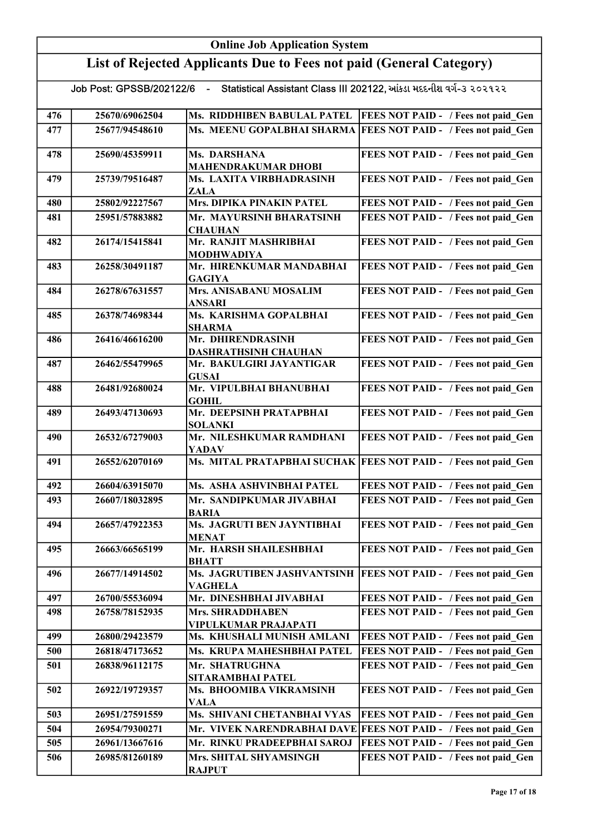|                                                                                               |                | <b>Online Job Application System</b>            |                                                                 |  |  |  |
|-----------------------------------------------------------------------------------------------|----------------|-------------------------------------------------|-----------------------------------------------------------------|--|--|--|
| List of Rejected Applicants Due to Fees not paid (General Category)                           |                |                                                 |                                                                 |  |  |  |
| Job Post: GPSSB/202122/6 - Statistical Assistant Class III 202122, આંકડા મદદનીશ વર્ગ-૩ ૨૦૨૧૨૨ |                |                                                 |                                                                 |  |  |  |
| 476                                                                                           | 25670/69062504 | Ms. RIDDHIBEN BABULAL PATEL                     | <b>FEES NOT PAID - / Fees not paid Gen</b>                      |  |  |  |
| 477                                                                                           | 25677/94548610 |                                                 | Ms. MEENU GOPALBHAI SHARMA FEES NOT PAID - / Fees not paid Gen  |  |  |  |
| 478                                                                                           | 25690/45359911 | Ms. DARSHANA<br><b>MAHENDRAKUMAR DHOBI</b>      | FEES NOT PAID - / Fees not paid Gen                             |  |  |  |
| 479                                                                                           | 25739/79516487 | Ms. LAXITA VIRBHADRASINH<br>ZALA                | FEES NOT PAID - / Fees not paid Gen                             |  |  |  |
| 480                                                                                           | 25802/92227567 | Mrs. DIPIKA PINAKIN PATEL                       | FEES NOT PAID - / Fees not paid Gen                             |  |  |  |
| 481                                                                                           | 25951/57883882 | Mr. MAYURSINH BHARATSINH                        | FEES NOT PAID - / Fees not paid Gen                             |  |  |  |
|                                                                                               |                | <b>CHAUHAN</b>                                  |                                                                 |  |  |  |
| 482                                                                                           | 26174/15415841 | Mr. RANJIT MASHRIBHAI<br><b>MODHWADIYA</b>      | FEES NOT PAID - / Fees not paid Gen                             |  |  |  |
| 483                                                                                           | 26258/30491187 | Mr. HIRENKUMAR MANDABHAI<br><b>GAGIYA</b>       | FEES NOT PAID - / Fees not paid Gen                             |  |  |  |
| 484                                                                                           | 26278/67631557 | Mrs. ANISABANU MOSALIM<br>ANSARI                | FEES NOT PAID - / Fees not paid Gen                             |  |  |  |
| 485                                                                                           | 26378/74698344 | Ms. KARISHMA GOPALBHAI<br><b>SHARMA</b>         | FEES NOT PAID - / Fees not paid Gen                             |  |  |  |
| 486                                                                                           | 26416/46616200 | Mr. DHIRENDRASINH<br>DASHRATHSINH CHAUHAN       | FEES NOT PAID - / Fees not paid Gen                             |  |  |  |
| 487                                                                                           | 26462/55479965 | Mr. BAKULGIRI JAYANTIGAR<br><b>GUSAI</b>        | FEES NOT PAID - / Fees not paid_Gen                             |  |  |  |
| 488                                                                                           | 26481/92680024 | Mr. VIPULBHAI BHANUBHAI<br><b>GOHIL</b>         | FEES NOT PAID - / Fees not paid Gen                             |  |  |  |
| 489                                                                                           | 26493/47130693 | Mr. DEEPSINH PRATAPBHAI<br><b>SOLANKI</b>       | FEES NOT PAID - / Fees not paid_Gen                             |  |  |  |
| 490                                                                                           | 26532/67279003 | Mr. NILESHKUMAR RAMDHANI<br><b>YADAV</b>        | FEES NOT PAID - / Fees not paid Gen                             |  |  |  |
| 491                                                                                           | 26552/62070169 |                                                 | Ms. MITAL PRATAPBHAI SUCHAK FEES NOT PAID - / Fees not paid Gen |  |  |  |
| 492                                                                                           | 26604/63915070 | Ms. ASHA ASHVINBHAI PATEL                       | FEES NOT PAID - / Fees not paid Gen                             |  |  |  |
| 493                                                                                           | 26607/18032895 | Mr. SANDIPKUMAR JIVABHAI<br><b>BARIA</b>        | FEES NOT PAID - / Fees not paid Gen                             |  |  |  |
| 494                                                                                           | 26657/47922353 | Ms. JAGRUTI BEN JAYNTIBHAI<br>MENAT             | FEES NOT PAID - / Fees not paid Gen                             |  |  |  |
| 495                                                                                           | 26663/66565199 | Mr. HARSH SHAILESHBHAI<br><b>BHATT</b>          | FEES NOT PAID - / Fees not paid Gen                             |  |  |  |
| 496                                                                                           | 26677/14914502 | Ms. JAGRUTIBEN JASHVANTSINH<br>VAGHELA          | <b>FEES NOT PAID - / Fees not paid Gen</b>                      |  |  |  |
| 497                                                                                           | 26700/55536094 | Mr. DINESHBHAI JIVABHAI                         | FEES NOT PAID - / Fees not paid Gen                             |  |  |  |
| 498                                                                                           | 26758/78152935 | <b>Mrs. SHRADDHABEN</b><br>VIPULKUMAR PRAJAPATI | FEES NOT PAID - / Fees not paid Gen                             |  |  |  |
| 499                                                                                           | 26800/29423579 | Ms. KHUSHALI MUNISH AMLANI                      | FEES NOT PAID - / Fees not paid Gen                             |  |  |  |
| 500                                                                                           | 26818/47173652 | Ms. KRUPA MAHESHBHAI PATEL                      | FEES NOT PAID - / Fees not paid Gen                             |  |  |  |
| 501                                                                                           | 26838/96112175 | Mr. SHATRUGHNA<br>SITARAMBHAI PATEL             | FEES NOT PAID - / Fees not paid Gen                             |  |  |  |
| 502                                                                                           | 26922/19729357 | Ms. BHOOMIBA VIKRAMSINH<br><b>VALA</b>          | FEES NOT PAID - / Fees not paid Gen                             |  |  |  |
| 503                                                                                           | 26951/27591559 | Ms. SHIVANI CHETANBHAI VYAS                     | FEES NOT PAID - / Fees not paid Gen                             |  |  |  |
| 504                                                                                           | 26954/79300271 |                                                 | Mr. VIVEK NARENDRABHAI DAVE FEES NOT PAID - / Fees not paid Gen |  |  |  |
| 505                                                                                           | 26961/13667616 | Mr. RINKU PRADEEPBHAI SAROJ                     | FEES NOT PAID - / Fees not paid Gen                             |  |  |  |
| 506                                                                                           | 26985/81260189 | Mrs. SHITAL SHYAMSINGH<br><b>RAJPUT</b>         | FEES NOT PAID - / Fees not paid Gen                             |  |  |  |